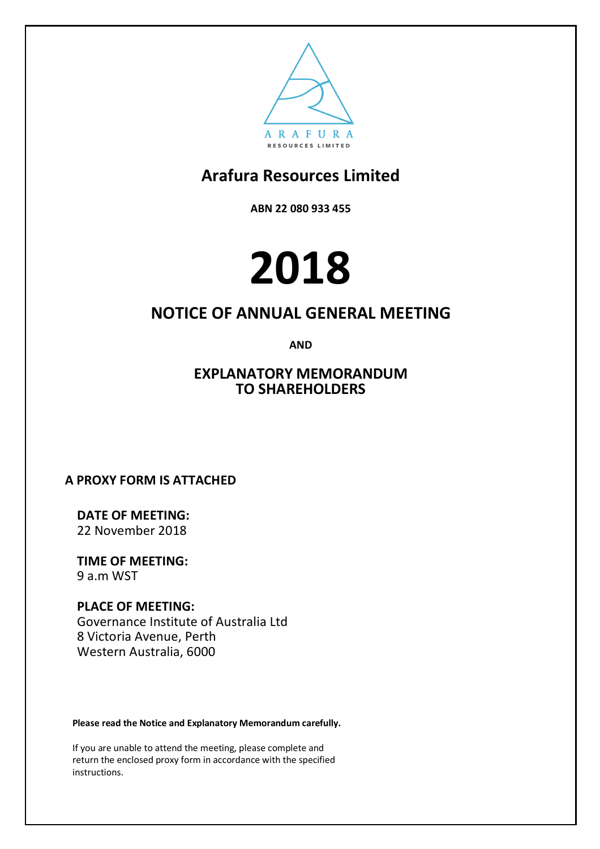

**ABN 22 080 933 455**

# **2018**

### **NOTICE OF ANNUAL GENERAL MEETING**

**AND**

### **EXPLANATORY MEMORANDUM TO SHAREHOLDERS**

**A PROXY FORM IS ATTACHED**

**DATE OF MEETING:** 22 November 2018

**TIME OF MEETING:** 9 a.m WST

**PLACE OF MEETING:** Governance Institute of Australia Ltd 8 Victoria Avenue, Perth Western Australia, 6000

**Please read the Notice and Explanatory Memorandum carefully.**

If you are unable to attend the meeting, please complete and return the enclosed proxy form in accordance with the specified instructions.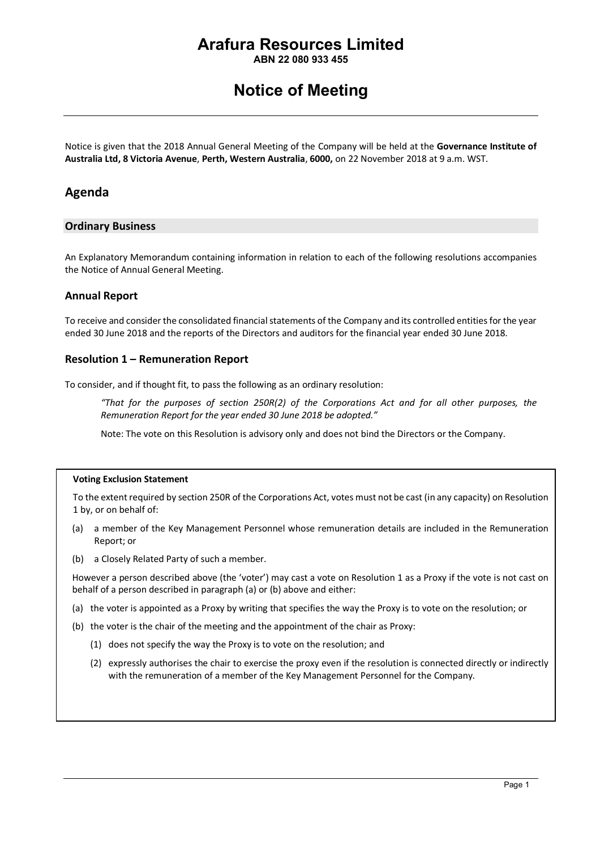**ABN 22 080 933 455**

### **Notice of Meeting**

Notice is given that the 2018 Annual General Meeting of the Company will be held at the **Governance Institute of Australia Ltd, 8 Victoria Avenue**, **Perth, Western Australia**, **6000,** on 22 November 2018 at 9 a.m. WST.

### **Agenda**

### **Ordinary Business**

An Explanatory Memorandum containing information in relation to each of the following resolutions accompanies the Notice of Annual General Meeting.

### **Annual Report**

To receive and consider the consolidated financial statements of the Company and its controlled entities for the year ended 30 June 2018 and the reports of the Directors and auditors for the financial year ended 30 June 2018.

### **Resolution 1 – Remuneration Report**

To consider, and if thought fit, to pass the following as an ordinary resolution:

*"That for the purposes of section 250R(2) of the Corporations Act and for all other purposes, the Remuneration Report for the year ended 30 June 2018 be adopted."*

Note: The vote on this Resolution is advisory only and does not bind the Directors or the Company.

#### **Voting Exclusion Statement**

To the extent required by section 250R of the Corporations Act, votes must not be cast (in any capacity) on Resolution 1 by, or on behalf of:

- (a) a member of the Key Management Personnel whose remuneration details are included in the Remuneration Report; or
- (b) a Closely Related Party of such a member.

However a person described above (the 'voter') may cast a vote on Resolution 1 as a Proxy if the vote is not cast on behalf of a person described in paragraph (a) or (b) above and either:

- (a) the voter is appointed as a Proxy by writing that specifies the way the Proxy is to vote on the resolution; or
- (b) the voter is the chair of the meeting and the appointment of the chair as Proxy:
	- (1) does not specify the way the Proxy is to vote on the resolution; and
	- (2) expressly authorises the chair to exercise the proxy even if the resolution is connected directly or indirectly with the remuneration of a member of the Key Management Personnel for the Company.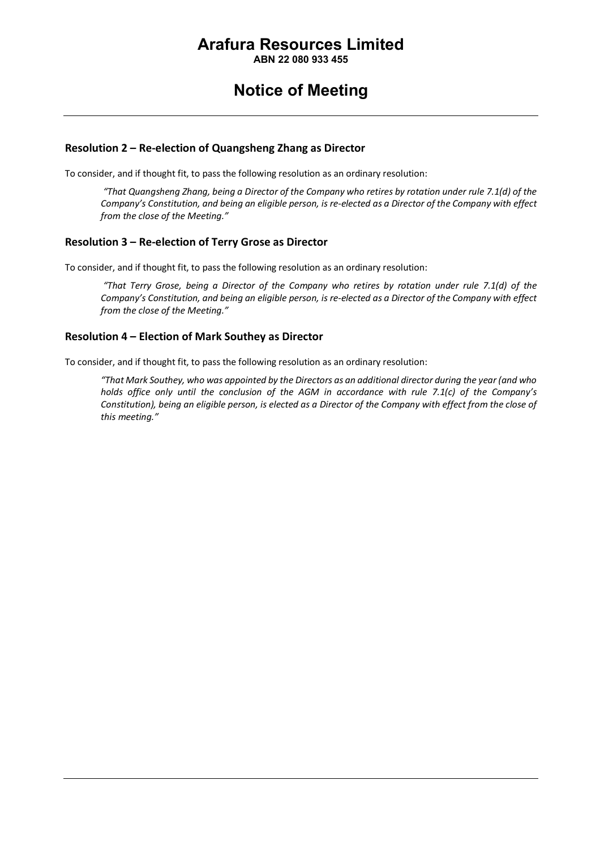**ABN 22 080 933 455**

### **Notice of Meeting**

### **Resolution 2 – Re-election of Quangsheng Zhang as Director**

To consider, and if thought fit, to pass the following resolution as an ordinary resolution:

*"That Quangsheng Zhang, being a Director of the Company who retires by rotation under rule 7.1(d) of the Company's Constitution, and being an eligible person, is re-elected as a Director of the Company with effect from the close of the Meeting."*

### **Resolution 3 – Re-election of Terry Grose as Director**

To consider, and if thought fit, to pass the following resolution as an ordinary resolution:

*"That Terry Grose, being a Director of the Company who retires by rotation under rule 7.1(d) of the Company's Constitution, and being an eligible person, is re-elected as a Director of the Company with effect from the close of the Meeting."*

### **Resolution 4 – Election of Mark Southey as Director**

To consider, and if thought fit, to pass the following resolution as an ordinary resolution:

*"That Mark Southey, who was appointed by the Directors as an additional director during the year (and who holds office only until the conclusion of the AGM in accordance with rule 7.1(c) of the Company's Constitution), being an eligible person, is elected as a Director of the Company with effect from the close of this meeting."*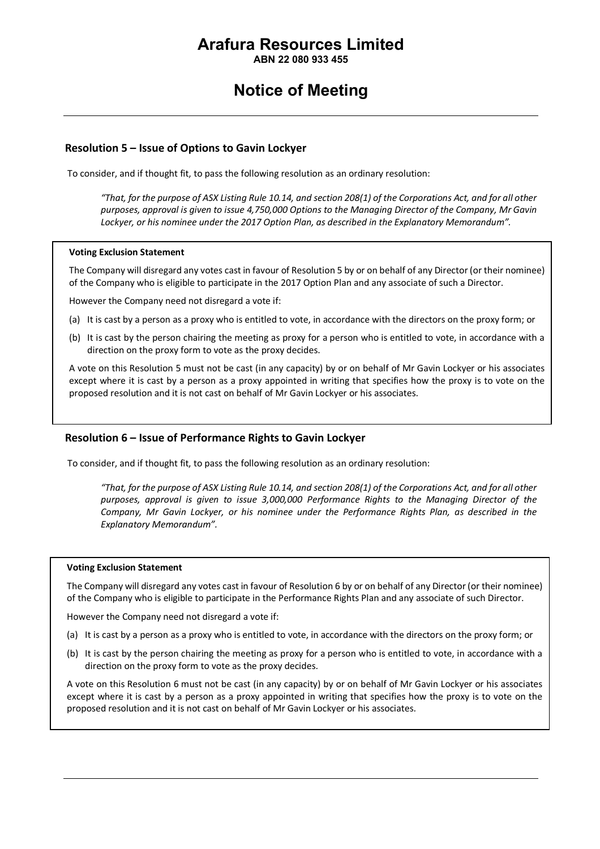**ABN 22 080 933 455**

### **Notice of Meeting**

### **Resolution 5 – Issue of Options to Gavin Lockyer**

To consider, and if thought fit, to pass the following resolution as an ordinary resolution:

*"That, for the purpose of ASX Listing Rule 10.14, and section 208(1) of the Corporations Act, and for all other purposes, approval is given to issue 4,750,000 Options to the Managing Director of the Company, Mr Gavin Lockyer, or his nominee under the 2017 Option Plan, as described in the Explanatory Memorandum".*

#### **Voting Exclusion Statement**

The Company will disregard any votes cast in favour of Resolution 5 by or on behalf of any Director (or their nominee) of the Company who is eligible to participate in the 2017 Option Plan and any associate of such a Director.

However the Company need not disregard a vote if:

- (a) It is cast by a person as a proxy who is entitled to vote, in accordance with the directors on the proxy form; or
- (b) It is cast by the person chairing the meeting as proxy for a person who is entitled to vote, in accordance with a direction on the proxy form to vote as the proxy decides.

A vote on this Resolution 5 must not be cast (in any capacity) by or on behalf of Mr Gavin Lockyer or his associates except where it is cast by a person as a proxy appointed in writing that specifies how the proxy is to vote on the proposed resolution and it is not cast on behalf of Mr Gavin Lockyer or his associates.

### **Resolution 6 – Issue of Performance Rights to Gavin Lockyer**

To consider, and if thought fit, to pass the following resolution as an ordinary resolution:

*"That, for the purpose of ASX Listing Rule 10.14, and section 208(1) of the Corporations Act, and for all other purposes, approval is given to issue 3,000,000 Performance Rights to the Managing Director of the Company, Mr Gavin Lockyer, or his nominee under the Performance Rights Plan, as described in the Explanatory Memorandum".*

#### **Voting Exclusion Statement**

The Company will disregard any votes cast in favour of Resolution 6 by or on behalf of any Director (or their nominee) of the Company who is eligible to participate in the Performance Rights Plan and any associate of such Director.

However the Company need not disregard a vote if:

- (a) It is cast by a person as a proxy who is entitled to vote, in accordance with the directors on the proxy form; or
- (b) It is cast by the person chairing the meeting as proxy for a person who is entitled to vote, in accordance with a direction on the proxy form to vote as the proxy decides.

A vote on this Resolution 6 must not be cast (in any capacity) by or on behalf of Mr Gavin Lockyer or his associates except where it is cast by a person as a proxy appointed in writing that specifies how the proxy is to vote on the proposed resolution and it is not cast on behalf of Mr Gavin Lockyer or his associates.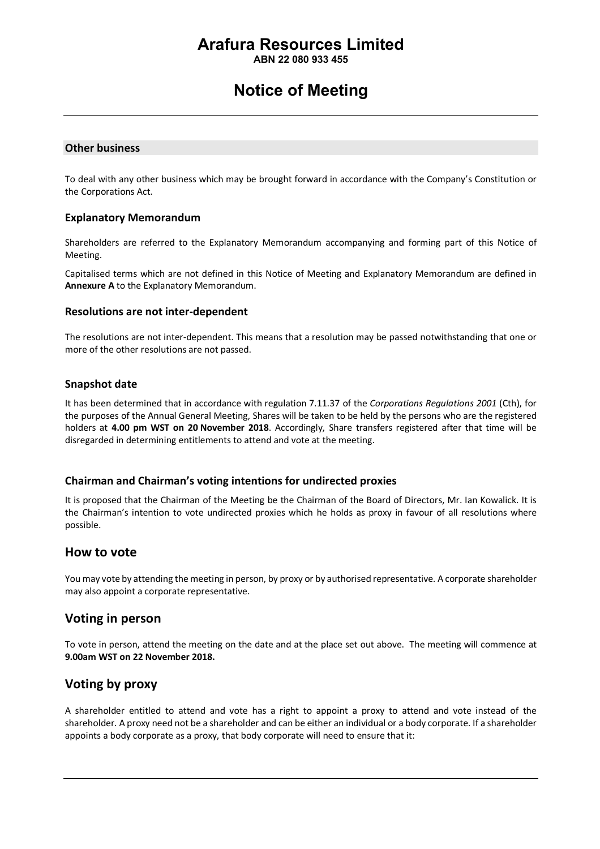**ABN 22 080 933 455**

### **Notice of Meeting**

#### **Other business**

To deal with any other business which may be brought forward in accordance with the Company's Constitution or the Corporations Act.

### **Explanatory Memorandum**

Shareholders are referred to the Explanatory Memorandum accompanying and forming part of this Notice of Meeting.

Capitalised terms which are not defined in this Notice of Meeting and Explanatory Memorandum are defined in **Annexure A** to the Explanatory Memorandum.

#### **Resolutions are not inter-dependent**

The resolutions are not inter-dependent. This means that a resolution may be passed notwithstanding that one or more of the other resolutions are not passed.

### **Snapshot date**

It has been determined that in accordance with regulation 7.11.37 of the *Corporations Regulations 2001* (Cth), for the purposes of the Annual General Meeting, Shares will be taken to be held by the persons who are the registered holders at **4.00 pm WST on 20 November 2018**. Accordingly, Share transfers registered after that time will be disregarded in determining entitlements to attend and vote at the meeting.

### **Chairman and Chairman's voting intentions for undirected proxies**

It is proposed that the Chairman of the Meeting be the Chairman of the Board of Directors, Mr. Ian Kowalick. It is the Chairman's intention to vote undirected proxies which he holds as proxy in favour of all resolutions where possible.

### **How to vote**

You may vote by attending the meeting in person, by proxy or by authorised representative. A corporate shareholder may also appoint a corporate representative.

### **Voting in person**

To vote in person, attend the meeting on the date and at the place set out above. The meeting will commence at **9.00am WST on 22 November 2018.**

### **Voting by proxy**

A shareholder entitled to attend and vote has a right to appoint a proxy to attend and vote instead of the shareholder. A proxy need not be a shareholder and can be either an individual or a body corporate. If a shareholder appoints a body corporate as a proxy, that body corporate will need to ensure that it: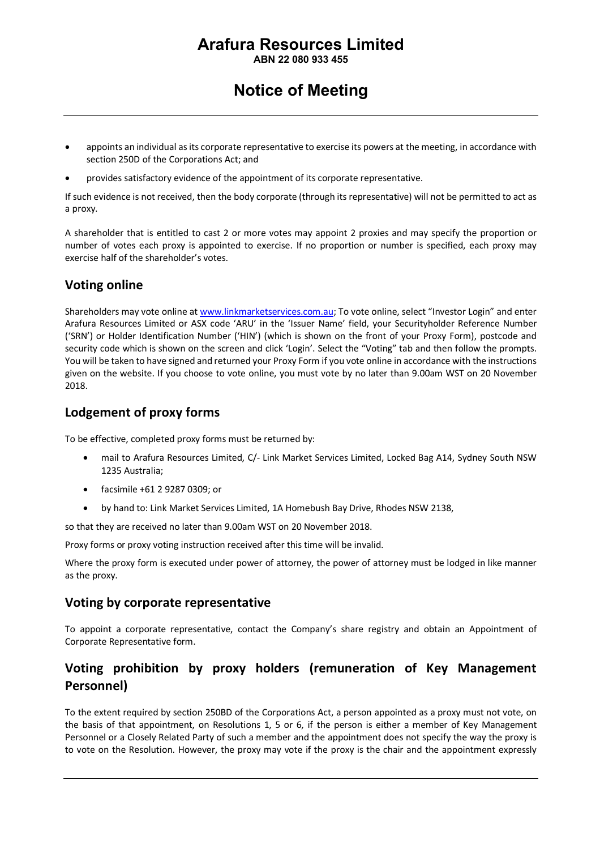**ABN 22 080 933 455**

### **Notice of Meeting**

- appoints an individual as its corporate representative to exercise its powers at the meeting, in accordance with section 250D of the Corporations Act; and
- provides satisfactory evidence of the appointment of its corporate representative.

If such evidence is not received, then the body corporate (through its representative) will not be permitted to act as a proxy.

A shareholder that is entitled to cast 2 or more votes may appoint 2 proxies and may specify the proportion or number of votes each proxy is appointed to exercise. If no proportion or number is specified, each proxy may exercise half of the shareholder's votes.

### **Voting online**

Shareholders may vote online at www.linkmarketservices.com.au; To vote online, select "Investor Login" and enter Arafura Resources Limited or ASX code 'ARU' in the 'Issuer Name' field, your Securityholder Reference Number ('SRN') or Holder Identification Number ('HIN') (which is shown on the front of your Proxy Form), postcode and security code which is shown on the screen and click 'Login'. Select the "Voting" tab and then follow the prompts. You will be taken to have signed and returned your Proxy Form if you vote online in accordance with the instructions given on the website. If you choose to vote online, you must vote by no later than 9.00am WST on 20 November 2018.

### **Lodgement of proxy forms**

To be effective, completed proxy forms must be returned by:

- mail to Arafura Resources Limited, C/- Link Market Services Limited, Locked Bag A14, Sydney South NSW 1235 Australia;
- facsimile +61 2 9287 0309; or
- by hand to: Link Market Services Limited, 1A Homebush Bay Drive, Rhodes NSW 2138,

so that they are received no later than 9.00am WST on 20 November 2018.

Proxy forms or proxy voting instruction received after this time will be invalid.

Where the proxy form is executed under power of attorney, the power of attorney must be lodged in like manner as the proxy.

### **Voting by corporate representative**

To appoint a corporate representative, contact the Company's share registry and obtain an Appointment of Corporate Representative form.

### **Voting prohibition by proxy holders (remuneration of Key Management Personnel)**

To the extent required by section 250BD of the Corporations Act, a person appointed as a proxy must not vote, on the basis of that appointment, on Resolutions 1, 5 or 6, if the person is either a member of Key Management Personnel or a Closely Related Party of such a member and the appointment does not specify the way the proxy is to vote on the Resolution. However, the proxy may vote if the proxy is the chair and the appointment expressly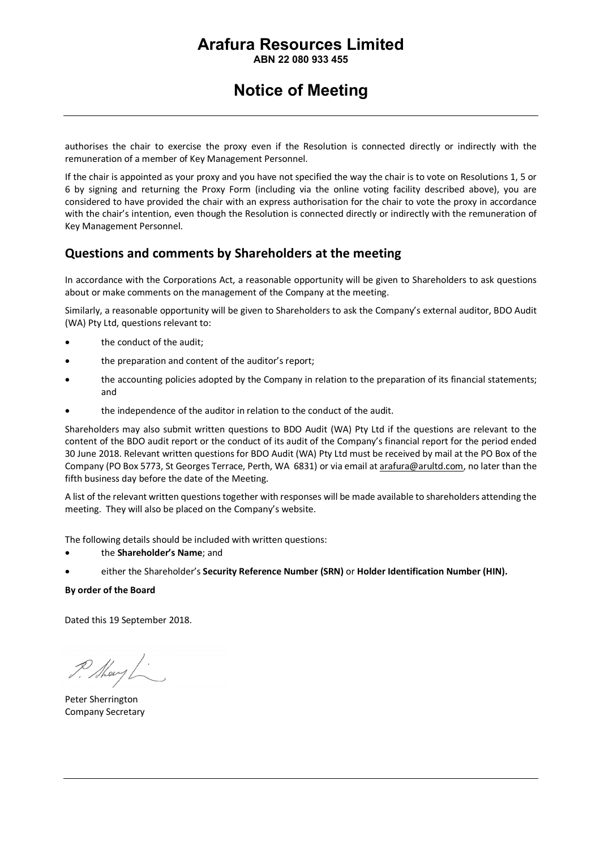**ABN 22 080 933 455**

### **Notice of Meeting**

authorises the chair to exercise the proxy even if the Resolution is connected directly or indirectly with the remuneration of a member of Key Management Personnel.

If the chair is appointed as your proxy and you have not specified the way the chair is to vote on Resolutions 1, 5 or 6 by signing and returning the Proxy Form (including via the online voting facility described above), you are considered to have provided the chair with an express authorisation for the chair to vote the proxy in accordance with the chair's intention, even though the Resolution is connected directly or indirectly with the remuneration of Key Management Personnel.

### **Questions and comments by Shareholders at the meeting**

In accordance with the Corporations Act, a reasonable opportunity will be given to Shareholders to ask questions about or make comments on the management of the Company at the meeting.

Similarly, a reasonable opportunity will be given to Shareholders to ask the Company's external auditor, BDO Audit (WA) Pty Ltd, questions relevant to:

- the conduct of the audit;
- the preparation and content of the auditor's report;
- the accounting policies adopted by the Company in relation to the preparation of its financial statements; and
- the independence of the auditor in relation to the conduct of the audit.

Shareholders may also submit written questions to BDO Audit (WA) Pty Ltd if the questions are relevant to the content of the BDO audit report or the conduct of its audit of the Company's financial report for the period ended 30 June 2018. Relevant written questions for BDO Audit (WA) Pty Ltd must be received by mail at the PO Box of the Company (PO Box 5773, St Georges Terrace, Perth, WA 6831) or via email at arafura@arultd.com, no later than the fifth business day before the date of the Meeting.

A list of the relevant written questions together with responses will be made available to shareholders attending the meeting. They will also be placed on the Company's website.

The following details should be included with written questions:

- the **Shareholder's Name**; and
- either the Shareholder's **Security Reference Number (SRN)** or **Holder Identification Number (HIN).**

#### **By order of the Board**

Dated this 19 September 2018.

P. Mary

Peter Sherrington Company Secretary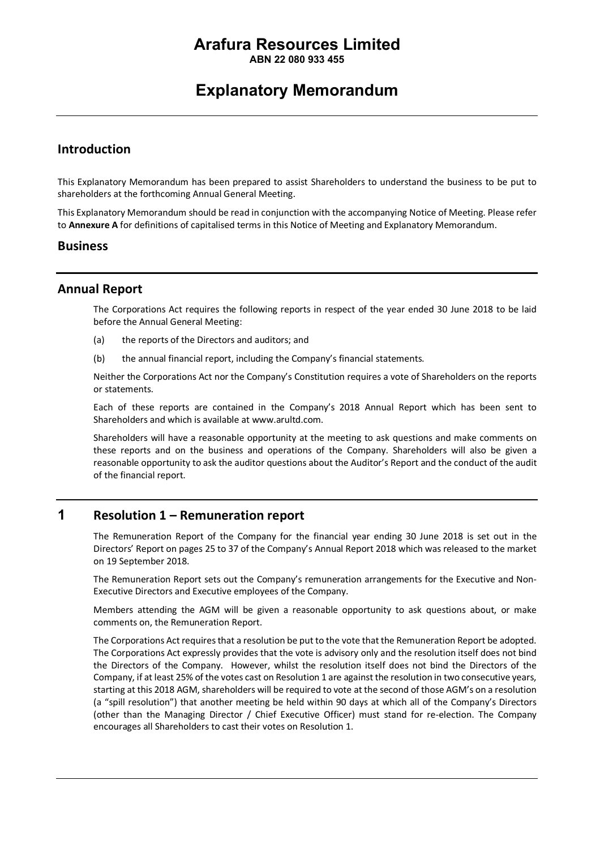**ABN 22 080 933 455**

### **Explanatory Memorandum**

### **Introduction**

This Explanatory Memorandum has been prepared to assist Shareholders to understand the business to be put to shareholders at the forthcoming Annual General Meeting.

This Explanatory Memorandum should be read in conjunction with the accompanying Notice of Meeting. Please refer to **Annexure A** for definitions of capitalised terms in this Notice of Meeting and Explanatory Memorandum.

### **Business**

### **Annual Report**

The Corporations Act requires the following reports in respect of the year ended 30 June 2018 to be laid before the Annual General Meeting:

- (a) the reports of the Directors and auditors; and
- (b) the annual financial report, including the Company's financial statements.

Neither the Corporations Act nor the Company's Constitution requires a vote of Shareholders on the reports or statements.

Each of these reports are contained in the Company's 2018 Annual Report which has been sent to Shareholders and which is available at www.arultd.com.

Shareholders will have a reasonable opportunity at the meeting to ask questions and make comments on these reports and on the business and operations of the Company. Shareholders will also be given a reasonable opportunity to ask the auditor questions about the Auditor's Report and the conduct of the audit of the financial report.

### **1 Resolution 1 – Remuneration report**

The Remuneration Report of the Company for the financial year ending 30 June 2018 is set out in the Directors' Report on pages 25 to 37 of the Company's Annual Report 2018 which was released to the market on 19 September 2018.

The Remuneration Report sets out the Company's remuneration arrangements for the Executive and Non-Executive Directors and Executive employees of the Company.

Members attending the AGM will be given a reasonable opportunity to ask questions about, or make comments on, the Remuneration Report.

The Corporations Act requires that a resolution be put to the vote that the Remuneration Report be adopted. The Corporations Act expressly provides that the vote is advisory only and the resolution itself does not bind the Directors of the Company. However, whilst the resolution itself does not bind the Directors of the Company, if at least 25% of the votes cast on Resolution 1 are against the resolution in two consecutive years, starting at this 2018 AGM, shareholders will be required to vote at the second of those AGM's on a resolution (a "spill resolution") that another meeting be held within 90 days at which all of the Company's Directors (other than the Managing Director / Chief Executive Officer) must stand for re-election. The Company encourages all Shareholders to cast their votes on Resolution 1.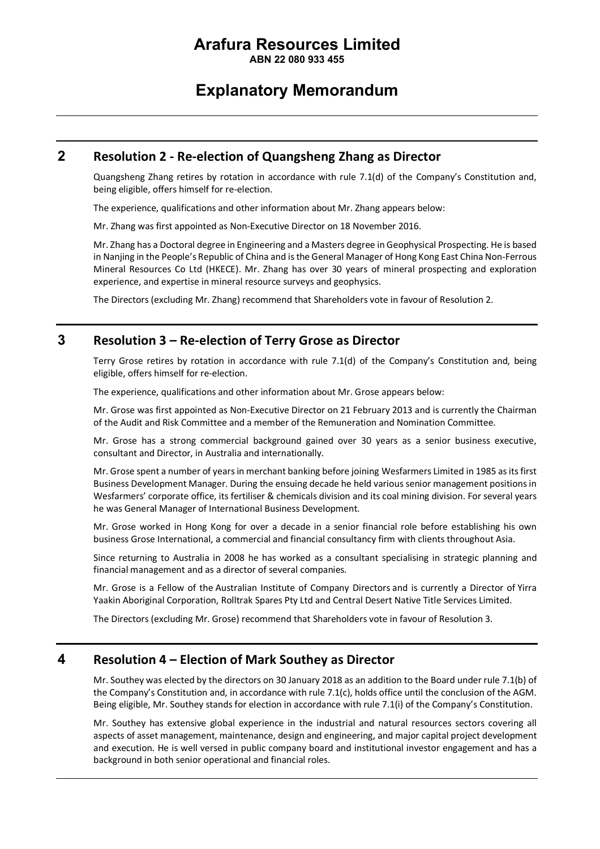**ABN 22 080 933 455**

### **Explanatory Memorandum**

### **2 Resolution 2 - Re-election of Quangsheng Zhang as Director**

Quangsheng Zhang retires by rotation in accordance with rule 7.1(d) of the Company's Constitution and, being eligible, offers himself for re-election.

The experience, qualifications and other information about Mr. Zhang appears below:

Mr. Zhang was first appointed as Non-Executive Director on 18 November 2016.

Mr. Zhang has a Doctoral degree in Engineering and a Masters degree in Geophysical Prospecting. He is based in Nanjing in the People's Republic of China and is the General Manager of Hong Kong East China Non-Ferrous Mineral Resources Co Ltd (HKECE). Mr. Zhang has over 30 years of mineral prospecting and exploration experience, and expertise in mineral resource surveys and geophysics.

The Directors (excluding Mr. Zhang) recommend that Shareholders vote in favour of Resolution 2.

### **3 Resolution 3 – Re-election of Terry Grose as Director**

Terry Grose retires by rotation in accordance with rule 7.1(d) of the Company's Constitution and, being eligible, offers himself for re-election.

The experience, qualifications and other information about Mr. Grose appears below:

Mr. Grose was first appointed as Non-Executive Director on 21 February 2013 and is currently the Chairman of the Audit and Risk Committee and a member of the Remuneration and Nomination Committee.

Mr. Grose has a strong commercial background gained over 30 years as a senior business executive, consultant and Director, in Australia and internationally.

Mr. Grose spent a number of years in merchant banking before joining Wesfarmers Limited in 1985 as its first Business Development Manager. During the ensuing decade he held various senior management positions in Wesfarmers' corporate office, its fertiliser & chemicals division and its coal mining division. For several years he was General Manager of International Business Development.

Mr. Grose worked in Hong Kong for over a decade in a senior financial role before establishing his own business Grose International, a commercial and financial consultancy firm with clients throughout Asia.

Since returning to Australia in 2008 he has worked as a consultant specialising in strategic planning and financial management and as a director of several companies.

Mr. Grose is a Fellow of the Australian Institute of Company Directors and is currently a Director of Yirra Yaakin Aboriginal Corporation, Rolltrak Spares Pty Ltd and Central Desert Native Title Services Limited.

The Directors (excluding Mr. Grose) recommend that Shareholders vote in favour of Resolution 3.

### **4 Resolution 4 – Election of Mark Southey as Director**

Mr. Southey was elected by the directors on 30 January 2018 as an addition to the Board under rule 7.1(b) of the Company's Constitution and, in accordance with rule 7.1(c), holds office until the conclusion of the AGM. Being eligible, Mr. Southey stands for election in accordance with rule 7.1(i) of the Company's Constitution.

Mr. Southey has extensive global experience in the industrial and natural resources sectors covering all aspects of asset management, maintenance, design and engineering, and major capital project development and execution. He is well versed in public company board and institutional investor engagement and has a background in both senior operational and financial roles.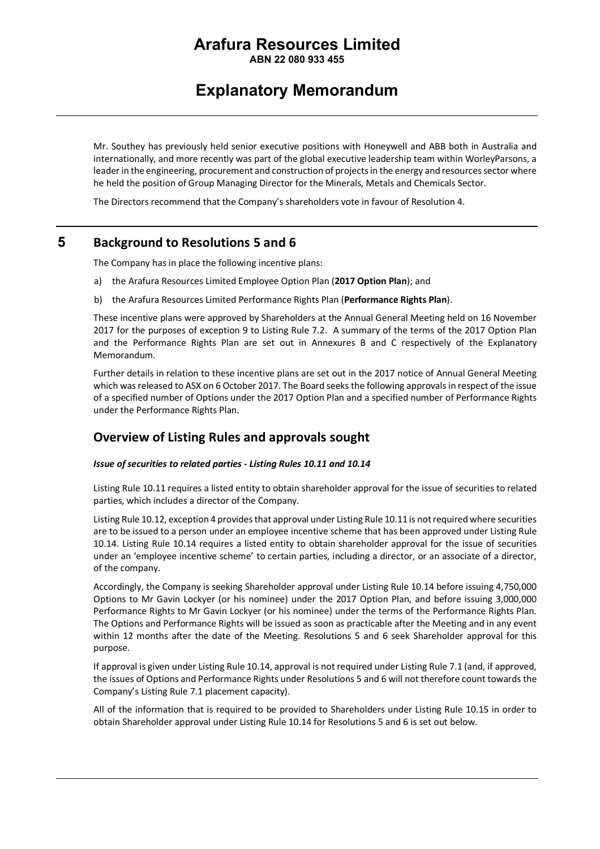**ABN 22 080 933 455**

### **Explanatory Memorandum**

Mr. Southey has previously held senior executive positions with Honeywell and ABB both in Australia and internationally, and more recently was part of the global executive leadership team within WorleyParsons, a leader in the engineering, procurement and construction of projects in the energy and resources sector where he held the position of Group Managing Director for the Minerals, Metals and Chemicals Sector.

The Directors recommend that the Company's shareholders vote in favour of Resolution 4.

### **5 Background to Resolutions 5 and 6**

The Company has in place the following incentive plans:

- a) the Arafura Resources Limited Employee Option Plan (**2017 Option Plan**); and
- b) the Arafura Resources Limited Performance Rights Plan (**Performance Rights Plan**).

These incentive plans were approved by Shareholders at the Annual General Meeting held on 16 November 2017 for the purposes of exception 9 to Listing Rule 7.2. A summary of the terms of the 2017 Option Plan and the Performance Rights Plan are set out in Annexures B and C respectively of the Explanatory Memorandum.

Further details in relation to these incentive plans are set out in the 2017 notice of Annual General Meeting which was released to ASX on 6 October 2017. The Board seeks the following approvals in respect of the issue of a specified number of Options under the 2017 Option Plan and a specified number of Performance Rights under the Performance Rights Plan.

### **Overview of Listing Rules and approvals sought**

### *Issue of securities to related parties - Listing Rules 10.11 and 10.14*

Listing Rule 10.11 requires a listed entity to obtain shareholder approval for the issue of securities to related parties, which includes a director of the Company.

Listing Rule 10.12, exception 4 provides that approval under Listing Rule 10.11 is not required where securities are to be issued to a person under an employee incentive scheme that has been approved under Listing Rule 10.14. Listing Rule 10.14 requires a listed entity to obtain shareholder approval for the issue of securities under an 'employee incentive scheme' to certain parties, including a director, or an associate of a director, of the company.

Accordingly, the Company is seeking Shareholder approval under Listing Rule 10.14 before issuing 4,750,000 Options to Mr Gavin Lockyer (or his nominee) under the 2017 Option Plan, and before issuing 3,000,000 Performance Rights to Mr Gavin Lockyer (or his nominee) under the terms of the Performance Rights Plan. The Options and Performance Rights will be issued as soon as practicable after the Meeting and in any event within 12 months after the date of the Meeting. Resolutions 5 and 6 seek Shareholder approval for this purpose.

If approval is given under Listing Rule 10.14, approval is not required under Listing Rule 7.1 (and, if approved, the issues of Options and Performance Rights under Resolutions 5 and 6 will not therefore count towards the Company's Listing Rule 7.1 placement capacity).

All of the information that is required to be provided to Shareholders under Listing Rule 10.15 in order to obtain Shareholder approval under Listing Rule 10.14 for Resolutions 5 and 6 is set out below.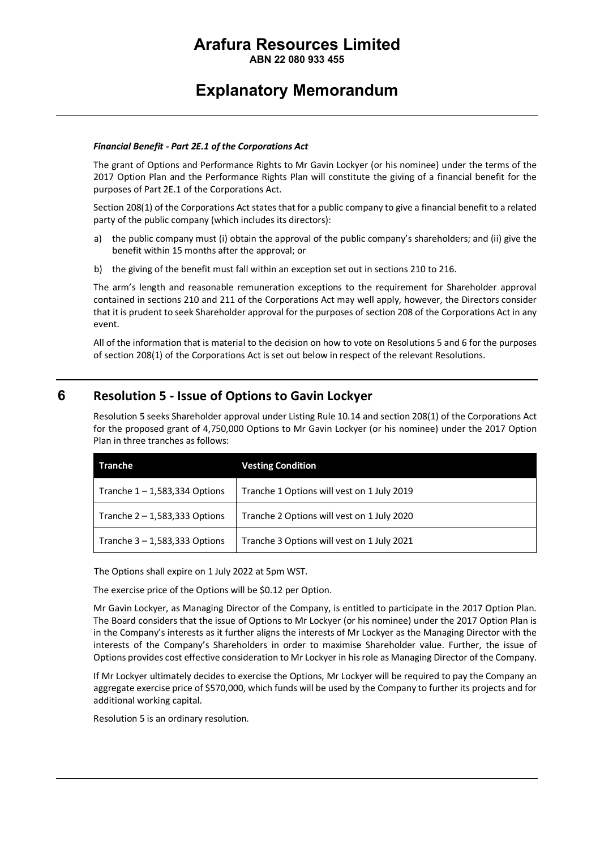**ABN 22 080 933 455**

### **Explanatory Memorandum**

#### *Financial Benefit - Part 2E.1 of the Corporations Act*

The grant of Options and Performance Rights to Mr Gavin Lockyer (or his nominee) under the terms of the 2017 Option Plan and the Performance Rights Plan will constitute the giving of a financial benefit for the purposes of Part 2E.1 of the Corporations Act.

Section 208(1) of the Corporations Act states that for a public company to give a financial benefit to a related party of the public company (which includes its directors):

- a) the public company must (i) obtain the approval of the public company's shareholders; and (ii) give the benefit within 15 months after the approval; or
- b) the giving of the benefit must fall within an exception set out in sections 210 to 216.

The arm's length and reasonable remuneration exceptions to the requirement for Shareholder approval contained in sections 210 and 211 of the Corporations Act may well apply, however, the Directors consider that it is prudent to seek Shareholder approval for the purposes of section 208 of the Corporations Act in any event.

All of the information that is material to the decision on how to vote on Resolutions 5 and 6 for the purposes of section 208(1) of the Corporations Act is set out below in respect of the relevant Resolutions.

### **6 Resolution 5 - Issue of Options to Gavin Lockyer**

Resolution 5 seeks Shareholder approval under Listing Rule 10.14 and section 208(1) of the Corporations Act for the proposed grant of 4,750,000 Options to Mr Gavin Lockyer (or his nominee) under the 2017 Option Plan in three tranches as follows:

| Tranche                         | <b>Vesting Condition</b>                   |
|---------------------------------|--------------------------------------------|
| Tranche $1 - 1,583,334$ Options | Tranche 1 Options will vest on 1 July 2019 |
| Tranche $2 - 1,583,333$ Options | Tranche 2 Options will vest on 1 July 2020 |
| Tranche $3 - 1,583,333$ Options | Tranche 3 Options will vest on 1 July 2021 |

The Options shall expire on 1 July 2022 at 5pm WST.

The exercise price of the Options will be \$0.12 per Option.

Mr Gavin Lockyer, as Managing Director of the Company, is entitled to participate in the 2017 Option Plan. The Board considers that the issue of Options to Mr Lockyer (or his nominee) under the 2017 Option Plan is in the Company's interests as it further aligns the interests of Mr Lockyer as the Managing Director with the interests of the Company's Shareholders in order to maximise Shareholder value. Further, the issue of Options provides cost effective consideration to Mr Lockyer in his role as Managing Director of the Company.

If Mr Lockyer ultimately decides to exercise the Options, Mr Lockyer will be required to pay the Company an aggregate exercise price of \$570,000, which funds will be used by the Company to further its projects and for additional working capital.

Resolution 5 is an ordinary resolution.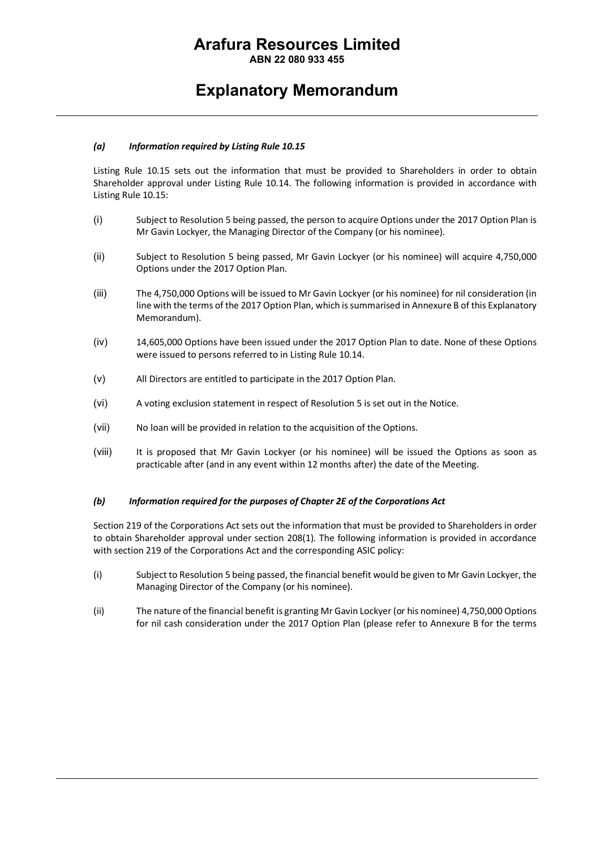**ABN 22 080 933 455**

### **Explanatory Memorandum**

#### *(a) Information required by Listing Rule 10.15*

Listing Rule 10.15 sets out the information that must be provided to Shareholders in order to obtain Shareholder approval under Listing Rule 10.14. The following information is provided in accordance with Listing Rule 10.15:

- (i) Subject to Resolution 5 being passed, the person to acquire Options under the 2017 Option Plan is Mr Gavin Lockyer, the Managing Director of the Company (or his nominee).
- (ii) Subject to Resolution 5 being passed, Mr Gavin Lockyer (or his nominee) will acquire 4,750,000 Options under the 2017 Option Plan.
- (iii) The 4,750,000 Options will be issued to Mr Gavin Lockyer (or his nominee) for nil consideration (in line with the terms of the 2017 Option Plan, which issummarised in Annexure B of this Explanatory Memorandum).
- (iv) 14,605,000 Options have been issued under the 2017 Option Plan to date. None of these Options were issued to persons referred to in Listing Rule 10.14.
- (v) All Directors are entitled to participate in the 2017 Option Plan.
- (vi) A voting exclusion statement in respect of Resolution 5 is set out in the Notice.
- (vii) No loan will be provided in relation to the acquisition of the Options.
- (viii) It is proposed that Mr Gavin Lockyer (or his nominee) will be issued the Options as soon as practicable after (and in any event within 12 months after) the date of the Meeting.

#### *(b) Information required for the purposes of Chapter 2E of the Corporations Act*

Section 219 of the Corporations Act sets out the information that must be provided to Shareholders in order to obtain Shareholder approval under section 208(1). The following information is provided in accordance with section 219 of the Corporations Act and the corresponding ASIC policy:

- (i) Subject to Resolution 5 being passed, the financial benefit would be given to Mr Gavin Lockyer, the Managing Director of the Company (or his nominee).
- (ii) The nature of the financial benefit is granting Mr Gavin Lockyer (or his nominee) 4,750,000 Options for nil cash consideration under the 2017 Option Plan (please refer to Annexure B for the terms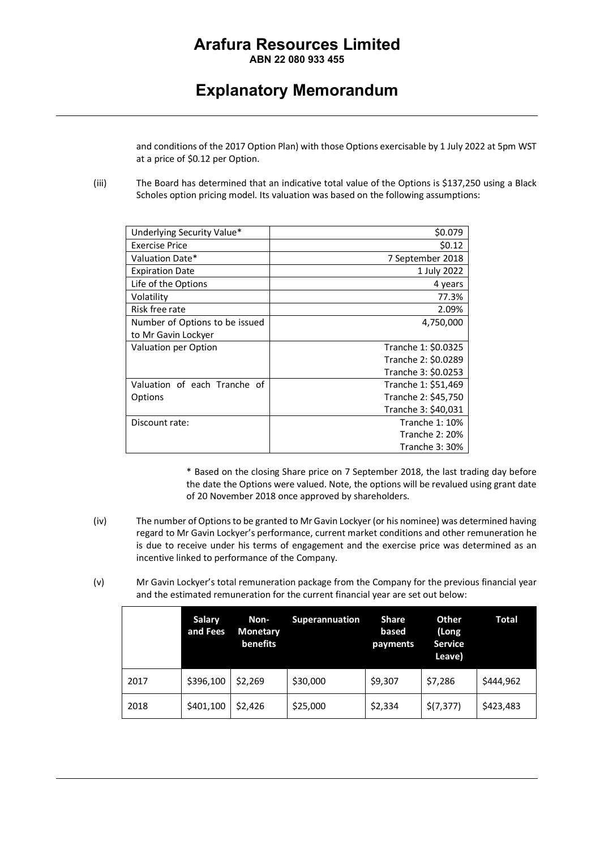**ABN 22 080 933 455**

### **Explanatory Memorandum**

and conditions of the 2017 Option Plan) with those Options exercisable by 1 July 2022 at 5pm WST at a price of \$0.12 per Option.

(iii) The Board has determined that an indicative total value of the Options is \$137,250 using a Black Scholes option pricing model. Its valuation was based on the following assumptions:

| Underlying Security Value*     | \$0.079               |
|--------------------------------|-----------------------|
| <b>Exercise Price</b>          | \$0.12                |
| Valuation Date*                | 7 September 2018      |
| <b>Expiration Date</b>         | 1 July 2022           |
| Life of the Options            | 4 years               |
| Volatility                     | 77.3%                 |
| Risk free rate                 | 2.09%                 |
| Number of Options to be issued | 4,750,000             |
| to Mr Gavin Lockyer            |                       |
| Valuation per Option           | Tranche 1: \$0.0325   |
|                                | Tranche 2: \$0.0289   |
|                                | Tranche 3: \$0.0253   |
| Valuation of each Tranche of   | Tranche 1: \$51,469   |
| Options                        | Tranche 2: \$45,750   |
|                                | Tranche 3: \$40,031   |
| Discount rate:                 | <b>Tranche 1: 10%</b> |
|                                | <b>Tranche 2: 20%</b> |
|                                | Tranche 3: 30%        |

\* Based on the closing Share price on 7 September 2018, the last trading day before the date the Options were valued. Note, the options will be revalued using grant date of 20 November 2018 once approved by shareholders.

- (iv) The number of Options to be granted to Mr Gavin Lockyer(or his nominee) was determined having regard to Mr Gavin Lockyer's performance, current market conditions and other remuneration he is due to receive under his terms of engagement and the exercise price was determined as an incentive linked to performance of the Company.
- (v) Mr Gavin Lockyer's total remuneration package from the Company for the previous financial year and the estimated remuneration for the current financial year are set out below:

|      | <b>Salary</b><br>and Fees | Non-<br><b>Monetary</b><br>benefits | <b>Superannuation</b> | Share<br>based<br>payments | <b>Other</b><br>(Long<br><b>Service</b><br>Leave) | Total     |
|------|---------------------------|-------------------------------------|-----------------------|----------------------------|---------------------------------------------------|-----------|
| 2017 | \$396,100                 | \$2,269                             | \$30,000              | \$9,307                    | \$7,286                                           | \$444.962 |
| 2018 | \$401,100                 | \$2.426                             | \$25,000              | \$2,334                    | \$(7, 377)                                        | \$423,483 |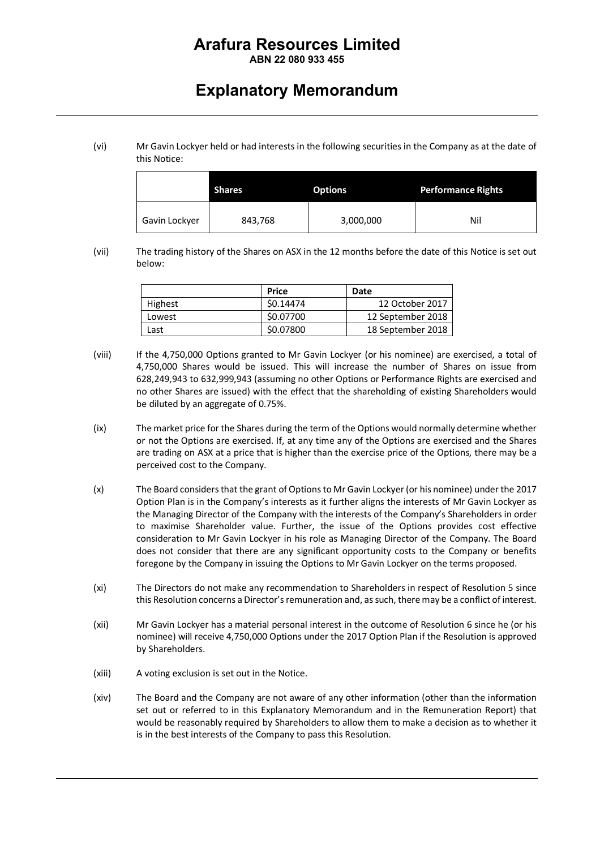### **ABN 22 080 933 455**

### **Explanatory Memorandum**

(vi) Mr Gavin Lockyer held or had interests in the following securities in the Company as at the date of this Notice:

| <b>Shares</b> |         | <b>Options</b> | <b>Performance Rights</b> |
|---------------|---------|----------------|---------------------------|
| Gavin Lockyer | 843,768 | 3,000,000      | Nil                       |

(vii) The trading history of the Shares on ASX in the 12 months before the date of this Notice is set out below:

|         | Price     | Date              |
|---------|-----------|-------------------|
| Highest | \$0.14474 | 12 October 2017   |
| Lowest  | \$0.07700 | 12 September 2018 |
| Last    | \$0.07800 | 18 September 2018 |

- (viii) If the 4,750,000 Options granted to Mr Gavin Lockyer (or his nominee) are exercised, a total of 4,750,000 Shares would be issued. This will increase the number of Shares on issue from 628,249,943 to 632,999,943 (assuming no other Options or Performance Rights are exercised and no other Shares are issued) with the effect that the shareholding of existing Shareholders would be diluted by an aggregate of 0.75%.
- (ix) The market price for the Shares during the term of the Options would normally determine whether or not the Options are exercised. If, at any time any of the Options are exercised and the Shares are trading on ASX at a price that is higher than the exercise price of the Options, there may be a perceived cost to the Company.
- (x) The Board considers that the grant of Options to Mr Gavin Lockyer (or his nominee) under the 2017 Option Plan is in the Company's interests as it further aligns the interests of Mr Gavin Lockyer as the Managing Director of the Company with the interests of the Company's Shareholders in order to maximise Shareholder value. Further, the issue of the Options provides cost effective consideration to Mr Gavin Lockyer in his role as Managing Director of the Company. The Board does not consider that there are any significant opportunity costs to the Company or benefits foregone by the Company in issuing the Options to Mr Gavin Lockyer on the terms proposed.
- (xi) The Directors do not make any recommendation to Shareholders in respect of Resolution 5 since this Resolution concerns a Director's remuneration and, as such, there may be a conflict of interest.
- (xii) Mr Gavin Lockyer has a material personal interest in the outcome of Resolution 6 since he (or his nominee) will receive 4,750,000 Options under the 2017 Option Plan if the Resolution is approved by Shareholders.
- (xiii) A voting exclusion is set out in the Notice.
- (xiv) The Board and the Company are not aware of any other information (other than the information set out or referred to in this Explanatory Memorandum and in the Remuneration Report) that would be reasonably required by Shareholders to allow them to make a decision as to whether it is in the best interests of the Company to pass this Resolution.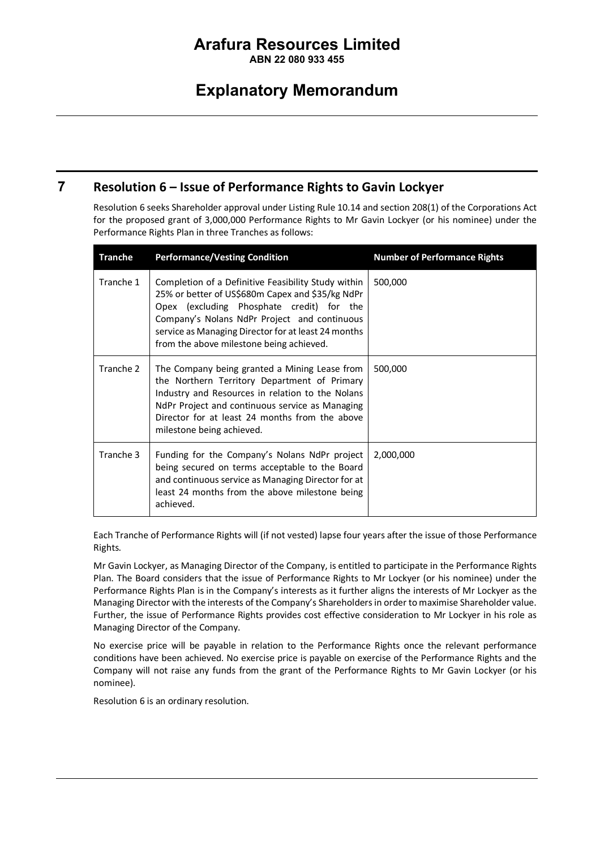**ABN 22 080 933 455**

### **Explanatory Memorandum**

### **7 Resolution 6 – Issue of Performance Rights to Gavin Lockyer**

Resolution 6 seeks Shareholder approval under Listing Rule 10.14 and section 208(1) of the Corporations Act for the proposed grant of 3,000,000 Performance Rights to Mr Gavin Lockyer (or his nominee) under the Performance Rights Plan in three Tranches as follows:

| <b>Tranche</b> | <b>Performance/Vesting Condition</b>                                                                                                                                                                                                                                                                    | <b>Number of Performance Rights</b> |
|----------------|---------------------------------------------------------------------------------------------------------------------------------------------------------------------------------------------------------------------------------------------------------------------------------------------------------|-------------------------------------|
| Tranche 1      | Completion of a Definitive Feasibility Study within<br>25% or better of US\$680m Capex and \$35/kg NdPr<br>Opex (excluding Phosphate credit) for the<br>Company's Nolans NdPr Project and continuous<br>service as Managing Director for at least 24 months<br>from the above milestone being achieved. | 500,000                             |
| Tranche 2      | The Company being granted a Mining Lease from<br>the Northern Territory Department of Primary<br>Industry and Resources in relation to the Nolans<br>NdPr Project and continuous service as Managing<br>Director for at least 24 months from the above<br>milestone being achieved.                     | 500,000                             |
| Tranche 3      | Funding for the Company's Nolans NdPr project<br>being secured on terms acceptable to the Board<br>and continuous service as Managing Director for at<br>least 24 months from the above milestone being<br>achieved.                                                                                    | 2,000,000                           |

Each Tranche of Performance Rights will (if not vested) lapse four years after the issue of those Performance Rights.

Mr Gavin Lockyer, as Managing Director of the Company, is entitled to participate in the Performance Rights Plan. The Board considers that the issue of Performance Rights to Mr Lockyer (or his nominee) under the Performance Rights Plan is in the Company's interests as it further aligns the interests of Mr Lockyer as the Managing Director with the interests of the Company's Shareholders in order to maximise Shareholder value. Further, the issue of Performance Rights provides cost effective consideration to Mr Lockyer in his role as Managing Director of the Company.

No exercise price will be payable in relation to the Performance Rights once the relevant performance conditions have been achieved. No exercise price is payable on exercise of the Performance Rights and the Company will not raise any funds from the grant of the Performance Rights to Mr Gavin Lockyer (or his nominee).

Resolution 6 is an ordinary resolution.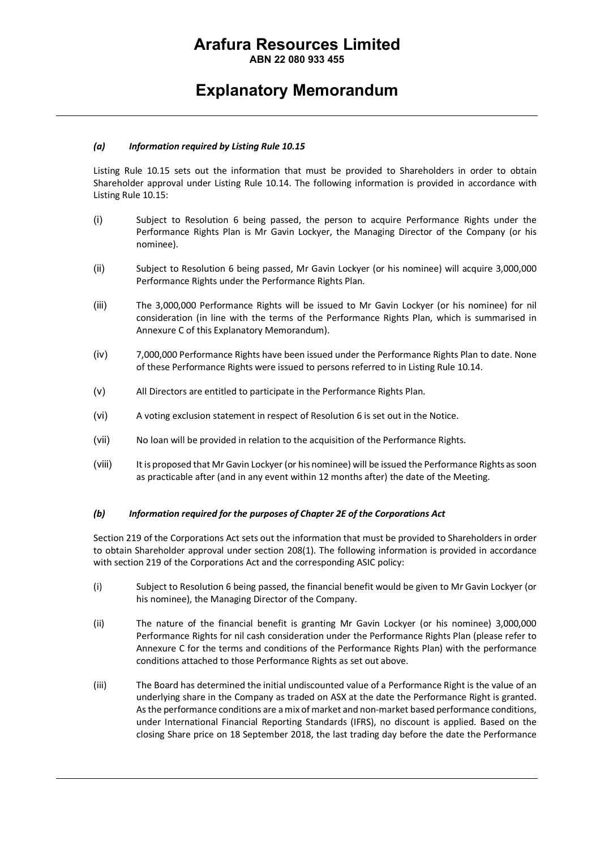**ABN 22 080 933 455**

### **Explanatory Memorandum**

#### *(a) Information required by Listing Rule 10.15*

Listing Rule 10.15 sets out the information that must be provided to Shareholders in order to obtain Shareholder approval under Listing Rule 10.14. The following information is provided in accordance with Listing Rule 10.15:

- (i) Subject to Resolution 6 being passed, the person to acquire Performance Rights under the Performance Rights Plan is Mr Gavin Lockyer, the Managing Director of the Company (or his nominee).
- (ii) Subject to Resolution 6 being passed, Mr Gavin Lockyer (or his nominee) will acquire 3,000,000 Performance Rights under the Performance Rights Plan.
- (iii) The 3,000,000 Performance Rights will be issued to Mr Gavin Lockyer (or his nominee) for nil consideration (in line with the terms of the Performance Rights Plan, which is summarised in Annexure C of this Explanatory Memorandum).
- (iv) 7,000,000 Performance Rights have been issued under the Performance Rights Plan to date. None of these Performance Rights were issued to persons referred to in Listing Rule 10.14.
- (v) All Directors are entitled to participate in the Performance Rights Plan.
- (vi) A voting exclusion statement in respect of Resolution 6 is set out in the Notice.
- (vii) No loan will be provided in relation to the acquisition of the Performance Rights.
- (viii) It is proposed that Mr Gavin Lockyer (or his nominee) will be issued the Performance Rights as soon as practicable after (and in any event within 12 months after) the date of the Meeting.

#### *(b) Information required for the purposes of Chapter 2E of the Corporations Act*

Section 219 of the Corporations Act sets out the information that must be provided to Shareholders in order to obtain Shareholder approval under section 208(1). The following information is provided in accordance with section 219 of the Corporations Act and the corresponding ASIC policy:

- (i) Subject to Resolution 6 being passed, the financial benefit would be given to Mr Gavin Lockyer (or his nominee), the Managing Director of the Company.
- (ii) The nature of the financial benefit is granting Mr Gavin Lockyer (or his nominee) 3,000,000 Performance Rights for nil cash consideration under the Performance Rights Plan (please refer to Annexure C for the terms and conditions of the Performance Rights Plan) with the performance conditions attached to those Performance Rights as set out above.
- (iii) The Board has determined the initial undiscounted value of a Performance Right is the value of an underlying share in the Company as traded on ASX at the date the Performance Right is granted. As the performance conditions are a mix of market and non-market based performance conditions, under International Financial Reporting Standards (IFRS), no discount is applied. Based on the closing Share price on 18 September 2018, the last trading day before the date the Performance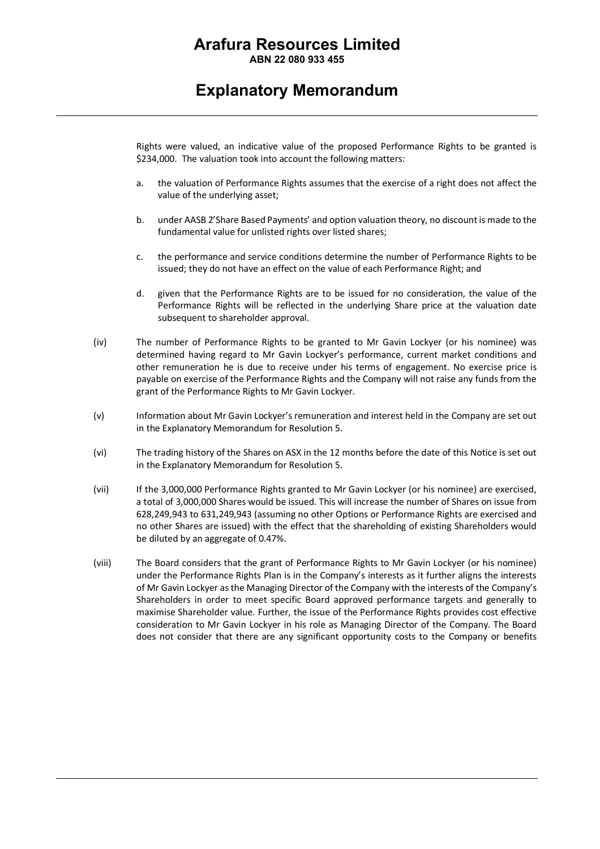**ABN 22 080 933 455**

### **Explanatory Memorandum**

Rights were valued, an indicative value of the proposed Performance Rights to be granted is \$234,000. The valuation took into account the following matters:

- a. the valuation of Performance Rights assumes that the exercise of a right does not affect the value of the underlying asset;
- b. under AASB 2'Share Based Payments' and option valuation theory, no discount is made to the fundamental value for unlisted rights over listed shares;
- c. the performance and service conditions determine the number of Performance Rights to be issued; they do not have an effect on the value of each Performance Right; and
- d. given that the Performance Rights are to be issued for no consideration, the value of the Performance Rights will be reflected in the underlying Share price at the valuation date subsequent to shareholder approval.
- (iv) The number of Performance Rights to be granted to Mr Gavin Lockyer (or his nominee) was determined having regard to Mr Gavin Lockyer's performance, current market conditions and other remuneration he is due to receive under his terms of engagement. No exercise price is payable on exercise of the Performance Rights and the Company will not raise any funds from the grant of the Performance Rights to Mr Gavin Lockyer.
- (v) Information about Mr Gavin Lockyer's remuneration and interest held in the Company are set out in the Explanatory Memorandum for Resolution 5.
- (vi) The trading history of the Shares on ASX in the 12 months before the date of this Notice is set out in the Explanatory Memorandum for Resolution 5.
- (vii) If the 3,000,000 Performance Rights granted to Mr Gavin Lockyer (or his nominee) are exercised, a total of 3,000,000 Shares would be issued. This will increase the number of Shares on issue from 628,249,943 to 631,249,943 (assuming no other Options or Performance Rights are exercised and no other Shares are issued) with the effect that the shareholding of existing Shareholders would be diluted by an aggregate of 0.47%.
- (viii) The Board considers that the grant of Performance Rights to Mr Gavin Lockyer (or his nominee) under the Performance Rights Plan is in the Company's interests as it further aligns the interests of Mr Gavin Lockyer as the Managing Director of the Company with the interests of the Company's Shareholders in order to meet specific Board approved performance targets and generally to maximise Shareholder value. Further, the issue of the Performance Rights provides cost effective consideration to Mr Gavin Lockyer in his role as Managing Director of the Company. The Board does not consider that there are any significant opportunity costs to the Company or benefits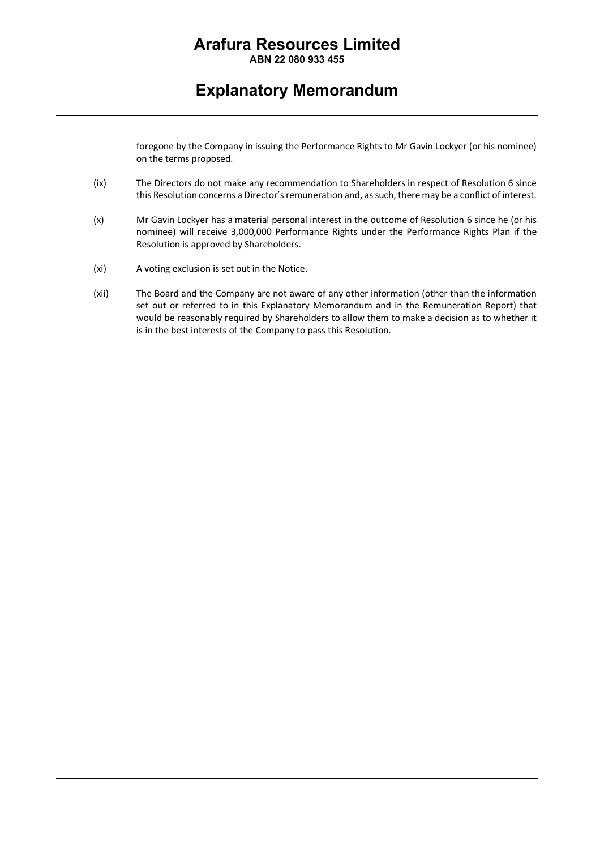**ABN 22 080 933 455**

### **Explanatory Memorandum**

foregone by the Company in issuing the Performance Rights to Mr Gavin Lockyer (or his nominee) on the terms proposed.

- (ix) The Directors do not make any recommendation to Shareholders in respect of Resolution 6 since this Resolution concerns a Director's remuneration and, as such, there may be a conflict of interest.
- (x) Mr Gavin Lockyer has a material personal interest in the outcome of Resolution 6 since he (or his nominee) will receive 3,000,000 Performance Rights under the Performance Rights Plan if the Resolution is approved by Shareholders.
- (xi) A voting exclusion is set out in the Notice.
- (xii) The Board and the Company are not aware of any other information (other than the information set out or referred to in this Explanatory Memorandum and in the Remuneration Report) that would be reasonably required by Shareholders to allow them to make a decision as to whether it is in the best interests of the Company to pass this Resolution.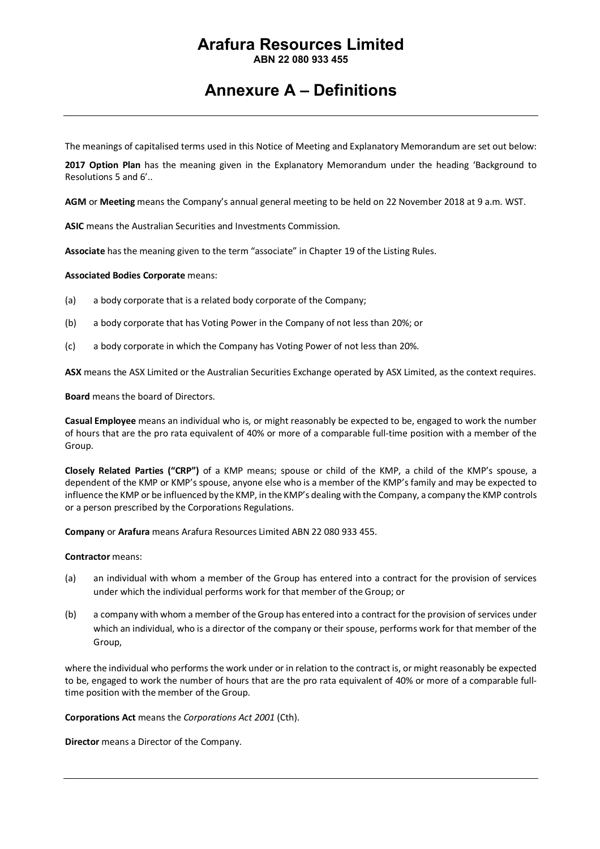**ABN 22 080 933 455**

### **Annexure A – Definitions**

The meanings of capitalised terms used in this Notice of Meeting and Explanatory Memorandum are set out below:

**2017 Option Plan** has the meaning given in the Explanatory Memorandum under the heading 'Background to Resolutions 5 and 6'..

**AGM** or **Meeting** means the Company's annual general meeting to be held on 22 November 2018 at 9 a.m. WST.

**ASIC** means the Australian Securities and Investments Commission.

**Associate** has the meaning given to the term "associate" in Chapter 19 of the Listing Rules.

**Associated Bodies Corporate** means:

- (a) a body corporate that is a related body corporate of the Company;
- (b) a body corporate that has Voting Power in the Company of not less than 20%; or
- (c) a body corporate in which the Company has Voting Power of not less than 20%.

**ASX** means the ASX Limited or the Australian Securities Exchange operated by ASX Limited, as the context requires.

**Board** means the board of Directors.

**Casual Employee** means an individual who is, or might reasonably be expected to be, engaged to work the number of hours that are the pro rata equivalent of 40% or more of a comparable full-time position with a member of the Group.

**Closely Related Parties ("CRP")** of a KMP means; spouse or child of the KMP, a child of the KMP's spouse, a dependent of the KMP or KMP's spouse, anyone else who is a member of the KMP's family and may be expected to influence the KMP or be influenced by the KMP, in the KMP's dealing with the Company, a company the KMP controls or a person prescribed by the Corporations Regulations.

**Company** or **Arafura** means Arafura Resources Limited ABN 22 080 933 455.

#### **Contractor** means:

- (a) an individual with whom a member of the Group has entered into a contract for the provision of services under which the individual performs work for that member of the Group; or
- (b) a company with whom a member of the Group has entered into a contract for the provision of services under which an individual, who is a director of the company or their spouse, performs work for that member of the Group,

where the individual who performs the work under or in relation to the contract is, or might reasonably be expected to be, engaged to work the number of hours that are the pro rata equivalent of 40% or more of a comparable fulltime position with the member of the Group.

**Corporations Act** means the *Corporations Act 2001* (Cth).

**Director** means a Director of the Company.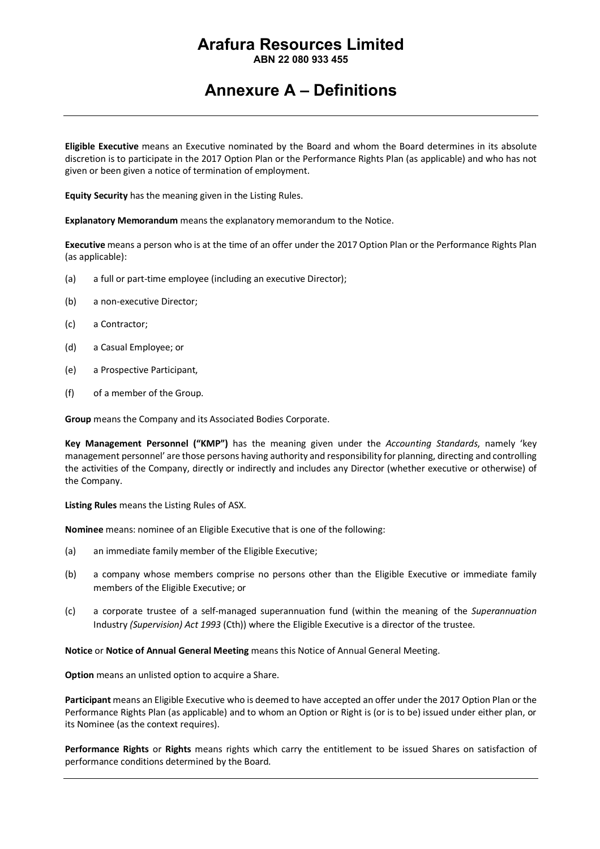**ABN 22 080 933 455**

### **Annexure A – Definitions**

**Eligible Executive** means an Executive nominated by the Board and whom the Board determines in its absolute discretion is to participate in the 2017 Option Plan or the Performance Rights Plan (as applicable) and who has not given or been given a notice of termination of employment.

**Equity Security** has the meaning given in the Listing Rules.

**Explanatory Memorandum** means the explanatory memorandum to the Notice.

**Executive** means a person who is at the time of an offer under the 2017 Option Plan or the Performance Rights Plan (as applicable):

- (a) a full or part-time employee (including an executive Director);
- (b) a non-executive Director;
- (c) a Contractor;
- (d) a Casual Employee; or
- (e) a Prospective Participant,
- (f) of a member of the Group.

**Group** means the Company and its Associated Bodies Corporate.

**Key Management Personnel ("KMP")** has the meaning given under the *Accounting Standards*, namely 'key management personnel' are those persons having authority and responsibility for planning, directing and controlling the activities of the Company, directly or indirectly and includes any Director (whether executive or otherwise) of the Company.

**Listing Rules** means the Listing Rules of ASX.

**Nominee** means: nominee of an Eligible Executive that is one of the following:

- (a) an immediate family member of the Eligible Executive;
- (b) a company whose members comprise no persons other than the Eligible Executive or immediate family members of the Eligible Executive; or
- (c) a corporate trustee of a self-managed superannuation fund (within the meaning of the *Superannuation*  Industry *(Supervision) Act 1993* (Cth)) where the Eligible Executive is a director of the trustee.

**Notice** or **Notice of Annual General Meeting** means this Notice of Annual General Meeting.

**Option** means an unlisted option to acquire a Share.

**Participant** means an Eligible Executive who is deemed to have accepted an offer under the 2017 Option Plan or the Performance Rights Plan (as applicable) and to whom an Option or Right is (or is to be) issued under either plan, or its Nominee (as the context requires).

**Performance Rights** or **Rights** means rights which carry the entitlement to be issued Shares on satisfaction of performance conditions determined by the Board.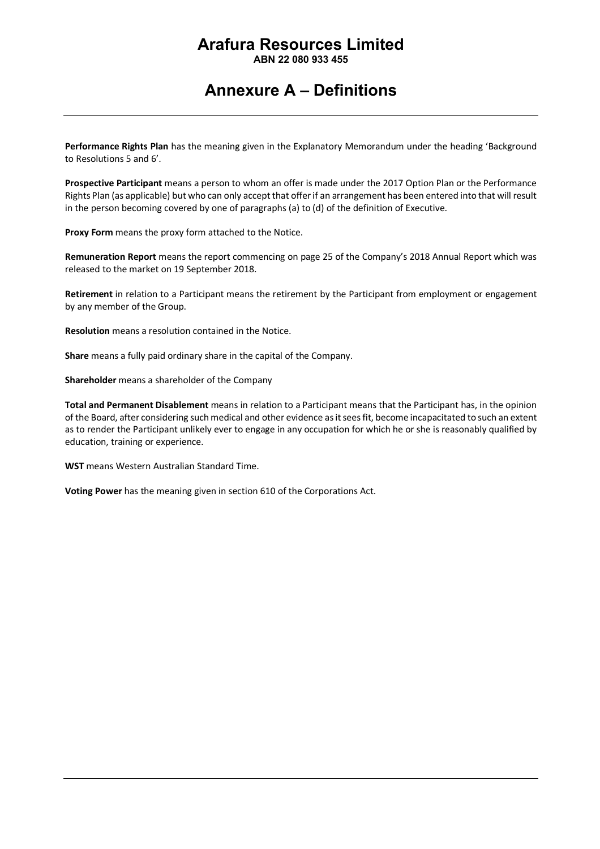**ABN 22 080 933 455**

### **Annexure A – Definitions**

**Performance Rights Plan** has the meaning given in the Explanatory Memorandum under the heading 'Background to Resolutions 5 and 6'.

**Prospective Participant** means a person to whom an offer is made under the 2017 Option Plan or the Performance Rights Plan (as applicable) but who can only accept that offer if an arrangement has been entered into that will result in the person becoming covered by one of paragraphs (a) to (d) of the definition of Executive.

**Proxy Form** means the proxy form attached to the Notice.

**Remuneration Report** means the report commencing on page 25 of the Company's 2018 Annual Report which was released to the market on 19 September 2018.

**Retirement** in relation to a Participant means the retirement by the Participant from employment or engagement by any member of the Group.

**Resolution** means a resolution contained in the Notice.

**Share** means a fully paid ordinary share in the capital of the Company.

**Shareholder** means a shareholder of the Company

**Total and Permanent Disablement** means in relation to a Participant means that the Participant has, in the opinion of the Board, after considering such medical and other evidence as it sees fit, become incapacitated to such an extent as to render the Participant unlikely ever to engage in any occupation for which he or she is reasonably qualified by education, training or experience.

**WST** means Western Australian Standard Time.

**Voting Power** has the meaning given in section 610 of the Corporations Act.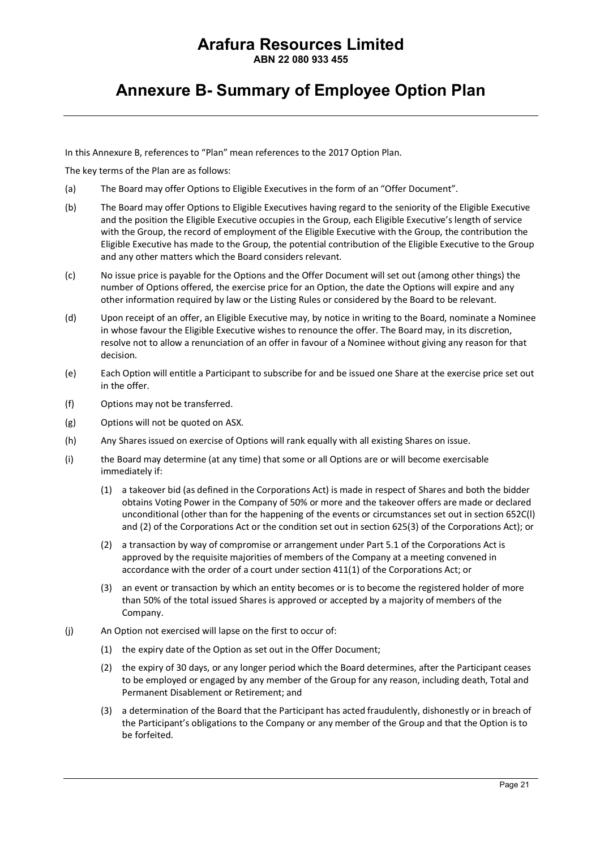**ABN 22 080 933 455**

### **Annexure B- Summary of Employee Option Plan**

In this Annexure B, references to "Plan" mean references to the 2017 Option Plan.

The key terms of the Plan are as follows:

- (a) The Board may offer Options to Eligible Executives in the form of an "Offer Document".
- (b) The Board may offer Options to Eligible Executives having regard to the seniority of the Eligible Executive and the position the Eligible Executive occupies in the Group, each Eligible Executive's length of service with the Group, the record of employment of the Eligible Executive with the Group, the contribution the Eligible Executive has made to the Group, the potential contribution of the Eligible Executive to the Group and any other matters which the Board considers relevant.
- (c) No issue price is payable for the Options and the Offer Document will set out (among other things) the number of Options offered, the exercise price for an Option, the date the Options will expire and any other information required by law or the Listing Rules or considered by the Board to be relevant.
- (d) Upon receipt of an offer, an Eligible Executive may, by notice in writing to the Board, nominate a Nominee in whose favour the Eligible Executive wishes to renounce the offer. The Board may, in its discretion, resolve not to allow a renunciation of an offer in favour of a Nominee without giving any reason for that decision.
- (e) Each Option will entitle a Participant to subscribe for and be issued one Share at the exercise price set out in the offer.
- (f) Options may not be transferred.
- (g) Options will not be quoted on ASX.
- (h) Any Shares issued on exercise of Options will rank equally with all existing Shares on issue.
- (i) the Board may determine (at any time) that some or all Options are or will become exercisable immediately if:
	- (1) a takeover bid (as defined in the Corporations Act) is made in respect of Shares and both the bidder obtains Voting Power in the Company of 50% or more and the takeover offers are made or declared unconditional (other than for the happening of the events or circumstances set out in section 652C(l) and (2) of the Corporations Act or the condition set out in section 625(3) of the Corporations Act); or
	- (2) a transaction by way of compromise or arrangement under Part 5.1 of the Corporations Act is approved by the requisite majorities of members of the Company at a meeting convened in accordance with the order of a court under section 411(1) of the Corporations Act; or
	- (3) an event or transaction by which an entity becomes or is to become the registered holder of more than 50% of the total issued Shares is approved or accepted by a majority of members of the Company.
- (j) An Option not exercised will lapse on the first to occur of:
	- (1) the expiry date of the Option as set out in the Offer Document;
	- (2) the expiry of 30 days, or any longer period which the Board determines, after the Participant ceases to be employed or engaged by any member of the Group for any reason, including death, Total and Permanent Disablement or Retirement; and
	- (3) a determination of the Board that the Participant has acted fraudulently, dishonestly or in breach of the Participant's obligations to the Company or any member of the Group and that the Option is to be forfeited.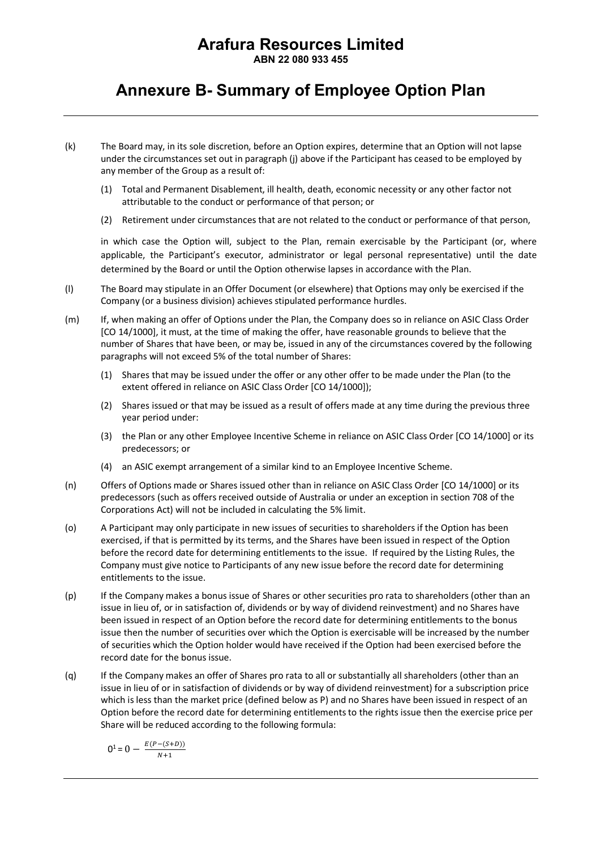**ABN 22 080 933 455**

### **Annexure B- Summary of Employee Option Plan**

- (k) The Board may, in its sole discretion, before an Option expires, determine that an Option will not lapse under the circumstances set out in paragraph (j) above if the Participant has ceased to be employed by any member of the Group as a result of:
	- (1) Total and Permanent Disablement, ill health, death, economic necessity or any other factor not attributable to the conduct or performance of that person; or
	- (2) Retirement under circumstances that are not related to the conduct or performance of that person,

in which case the Option will, subject to the Plan, remain exercisable by the Participant (or, where applicable, the Participant's executor, administrator or legal personal representative) until the date determined by the Board or until the Option otherwise lapses in accordance with the Plan.

- (l) The Board may stipulate in an Offer Document (or elsewhere) that Options may only be exercised if the Company (or a business division) achieves stipulated performance hurdles.
- (m) If, when making an offer of Options under the Plan, the Company does so in reliance on ASIC Class Order [CO 14/1000], it must, at the time of making the offer, have reasonable grounds to believe that the number of Shares that have been, or may be, issued in any of the circumstances covered by the following paragraphs will not exceed 5% of the total number of Shares:
	- (1) Shares that may be issued under the offer or any other offer to be made under the Plan (to the extent offered in reliance on ASIC Class Order [CO 14/1000]);
	- (2) Shares issued or that may be issued as a result of offers made at any time during the previous three year period under:
	- (3) the Plan or any other Employee Incentive Scheme in reliance on ASIC Class Order [CO 14/1000] or its predecessors; or
	- (4) an ASIC exempt arrangement of a similar kind to an Employee Incentive Scheme.
- (n) Offers of Options made or Shares issued other than in reliance on ASIC Class Order [CO 14/1000] or its predecessors (such as offers received outside of Australia or under an exception in section 708 of the Corporations Act) will not be included in calculating the 5% limit.
- (o) A Participant may only participate in new issues of securities to shareholders if the Option has been exercised, if that is permitted by its terms, and the Shares have been issued in respect of the Option before the record date for determining entitlements to the issue. If required by the Listing Rules, the Company must give notice to Participants of any new issue before the record date for determining entitlements to the issue.
- (p) If the Company makes a bonus issue of Shares or other securities pro rata to shareholders (other than an issue in lieu of, or in satisfaction of, dividends or by way of dividend reinvestment) and no Shares have been issued in respect of an Option before the record date for determining entitlements to the bonus issue then the number of securities over which the Option is exercisable will be increased by the number of securities which the Option holder would have received if the Option had been exercised before the record date for the bonus issue.
- (q) If the Company makes an offer of Shares pro rata to all or substantially all shareholders (other than an issue in lieu of or in satisfaction of dividends or by way of dividend reinvestment) for a subscription price which is less than the market price (defined below as P) and no Shares have been issued in respect of an Option before the record date for determining entitlements to the rights issue then the exercise price per Share will be reduced according to the following formula:

$$
0^1 = 0 - \frac{E(P - (S + D))}{N + 1}
$$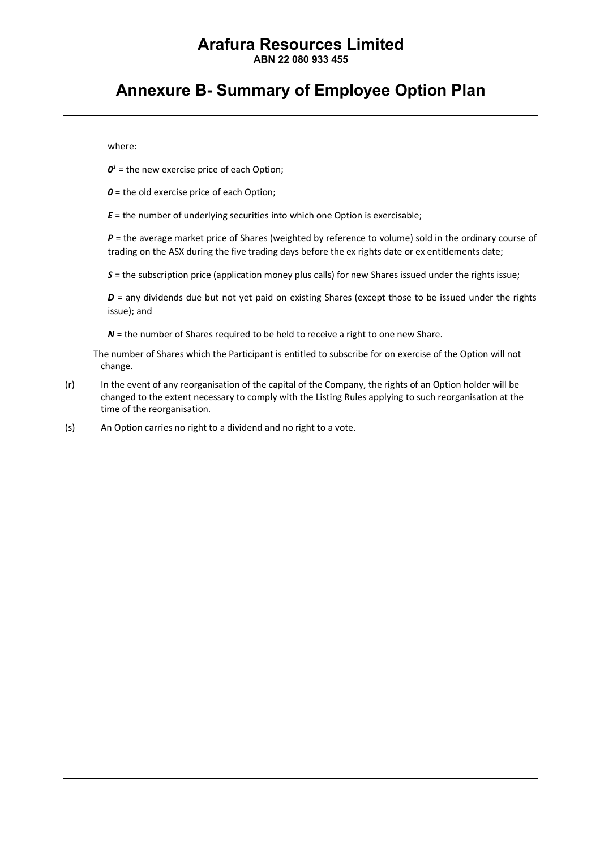**ABN 22 080 933 455**

### **Annexure B- Summary of Employee Option Plan**

where:

 $\mathbf{0}^1$  = the new exercise price of each Option;

*0* = the old exercise price of each Option;

 $E =$  the number of underlying securities into which one Option is exercisable;

*P* = the average market price of Shares (weighted by reference to volume) sold in the ordinary course of trading on the ASX during the five trading days before the ex rights date or ex entitlements date;

*S* = the subscription price (application money plus calls) for new Shares issued under the rights issue;

*D* = any dividends due but not yet paid on existing Shares (except those to be issued under the rights issue); and

*N* = the number of Shares required to be held to receive a right to one new Share.

The number of Shares which the Participant is entitled to subscribe for on exercise of the Option will not change.

- (r) In the event of any reorganisation of the capital of the Company, the rights of an Option holder will be changed to the extent necessary to comply with the Listing Rules applying to such reorganisation at the time of the reorganisation.
- (s) An Option carries no right to a dividend and no right to a vote.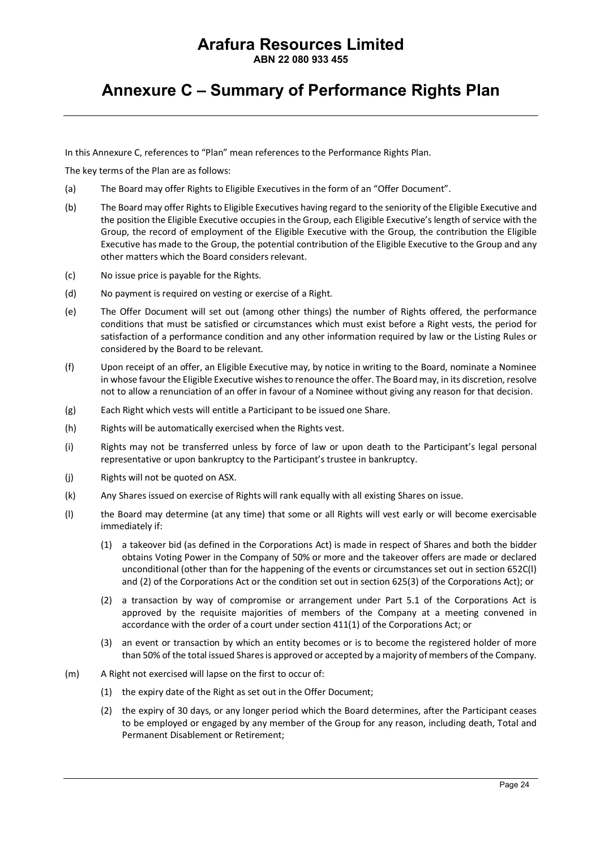**ABN 22 080 933 455**

### **Annexure C – Summary of Performance Rights Plan**

In this Annexure C, references to "Plan" mean references to the Performance Rights Plan.

The key terms of the Plan are as follows:

- (a) The Board may offer Rights to Eligible Executives in the form of an "Offer Document".
- (b) The Board may offer Rights to Eligible Executives having regard to the seniority of the Eligible Executive and the position the Eligible Executive occupies in the Group, each Eligible Executive's length of service with the Group, the record of employment of the Eligible Executive with the Group, the contribution the Eligible Executive has made to the Group, the potential contribution of the Eligible Executive to the Group and any other matters which the Board considers relevant.
- (c) No issue price is payable for the Rights.
- (d) No payment is required on vesting or exercise of a Right.
- (e) The Offer Document will set out (among other things) the number of Rights offered, the performance conditions that must be satisfied or circumstances which must exist before a Right vests, the period for satisfaction of a performance condition and any other information required by law or the Listing Rules or considered by the Board to be relevant.
- (f) Upon receipt of an offer, an Eligible Executive may, by notice in writing to the Board, nominate a Nominee in whose favour the Eligible Executive wishes to renounce the offer. The Board may, in its discretion, resolve not to allow a renunciation of an offer in favour of a Nominee without giving any reason for that decision.
- (g) Each Right which vests will entitle a Participant to be issued one Share.
- (h) Rights will be automatically exercised when the Rights vest.
- (i) Rights may not be transferred unless by force of law or upon death to the Participant's legal personal representative or upon bankruptcy to the Participant's trustee in bankruptcy.
- (j) Rights will not be quoted on ASX.
- (k) Any Shares issued on exercise of Rights will rank equally with all existing Shares on issue.
- (l) the Board may determine (at any time) that some or all Rights will vest early or will become exercisable immediately if:
	- (1) a takeover bid (as defined in the Corporations Act) is made in respect of Shares and both the bidder obtains Voting Power in the Company of 50% or more and the takeover offers are made or declared unconditional (other than for the happening of the events or circumstances set out in section 652C(l) and (2) of the Corporations Act or the condition set out in section 625(3) of the Corporations Act); or
	- (2) a transaction by way of compromise or arrangement under Part 5.1 of the Corporations Act is approved by the requisite majorities of members of the Company at a meeting convened in accordance with the order of a court under section 411(1) of the Corporations Act; or
	- (3) an event or transaction by which an entity becomes or is to become the registered holder of more than 50% of the total issued Shares is approved or accepted by a majority of members of the Company.
- (m) A Right not exercised will lapse on the first to occur of:
	- (1) the expiry date of the Right as set out in the Offer Document;
	- (2) the expiry of 30 days, or any longer period which the Board determines, after the Participant ceases to be employed or engaged by any member of the Group for any reason, including death, Total and Permanent Disablement or Retirement;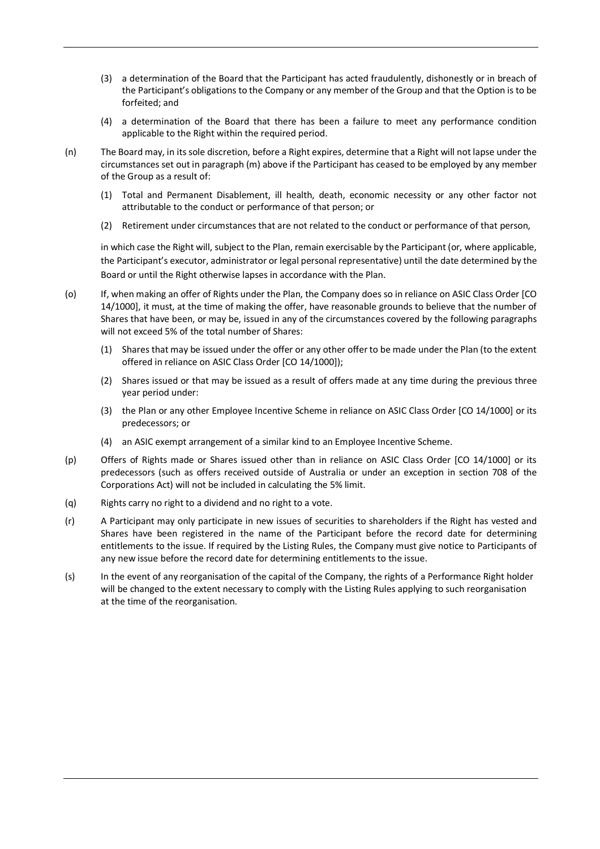- (3) a determination of the Board that the Participant has acted fraudulently, dishonestly or in breach of the Participant's obligations to the Company or any member of the Group and that the Option is to be forfeited; and
- (4) a determination of the Board that there has been a failure to meet any performance condition applicable to the Right within the required period.
- (n) The Board may, in its sole discretion, before a Right expires, determine that a Right will not lapse under the circumstances set out in paragraph (m) above if the Participant has ceased to be employed by any member of the Group as a result of:
	- (1) Total and Permanent Disablement, ill health, death, economic necessity or any other factor not attributable to the conduct or performance of that person; or
	- (2) Retirement under circumstances that are not related to the conduct or performance of that person,

in which case the Right will, subject to the Plan, remain exercisable by the Participant (or, where applicable, the Participant's executor, administrator or legal personal representative) until the date determined by the Board or until the Right otherwise lapses in accordance with the Plan.

- (o) If, when making an offer of Rights under the Plan, the Company does so in reliance on ASIC Class Order [CO 14/1000], it must, at the time of making the offer, have reasonable grounds to believe that the number of Shares that have been, or may be, issued in any of the circumstances covered by the following paragraphs will not exceed 5% of the total number of Shares:
	- (1) Shares that may be issued under the offer or any other offer to be made under the Plan (to the extent offered in reliance on ASIC Class Order [CO 14/1000]);
	- (2) Shares issued or that may be issued as a result of offers made at any time during the previous three year period under:
	- (3) the Plan or any other Employee Incentive Scheme in reliance on ASIC Class Order [CO 14/1000] or its predecessors; or
	- (4) an ASIC exempt arrangement of a similar kind to an Employee Incentive Scheme.
- (p) Offers of Rights made or Shares issued other than in reliance on ASIC Class Order [CO 14/1000] or its predecessors (such as offers received outside of Australia or under an exception in section 708 of the Corporations Act) will not be included in calculating the 5% limit.
- (q) Rights carry no right to a dividend and no right to a vote.
- (r) A Participant may only participate in new issues of securities to shareholders if the Right has vested and Shares have been registered in the name of the Participant before the record date for determining entitlements to the issue. If required by the Listing Rules, the Company must give notice to Participants of any new issue before the record date for determining entitlements to the issue.
- (s) In the event of any reorganisation of the capital of the Company, the rights of a Performance Right holder will be changed to the extent necessary to comply with the Listing Rules applying to such reorganisation at the time of the reorganisation.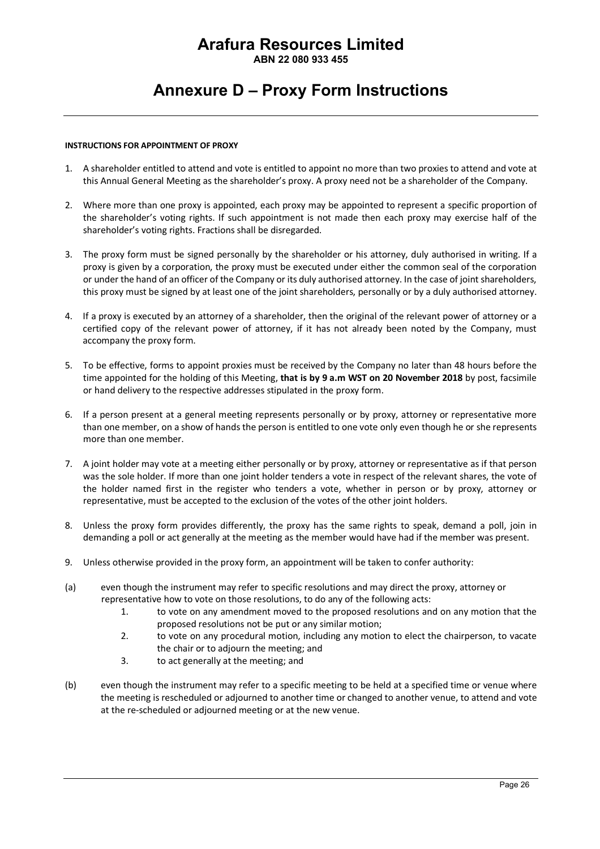**ABN 22 080 933 455**

### **Annexure D – Proxy Form Instructions**

#### **INSTRUCTIONS FOR APPOINTMENT OF PROXY**

- 1. A shareholder entitled to attend and vote is entitled to appoint no more than two proxies to attend and vote at this Annual General Meeting as the shareholder's proxy. A proxy need not be a shareholder of the Company.
- 2. Where more than one proxy is appointed, each proxy may be appointed to represent a specific proportion of the shareholder's voting rights. If such appointment is not made then each proxy may exercise half of the shareholder's voting rights. Fractions shall be disregarded.
- 3. The proxy form must be signed personally by the shareholder or his attorney, duly authorised in writing. If a proxy is given by a corporation, the proxy must be executed under either the common seal of the corporation or under the hand of an officer of the Company or its duly authorised attorney. In the case of joint shareholders, this proxy must be signed by at least one of the joint shareholders, personally or by a duly authorised attorney.
- 4. If a proxy is executed by an attorney of a shareholder, then the original of the relevant power of attorney or a certified copy of the relevant power of attorney, if it has not already been noted by the Company, must accompany the proxy form.
- 5. To be effective, forms to appoint proxies must be received by the Company no later than 48 hours before the time appointed for the holding of this Meeting, **that is by 9 a.m WST on 20 November 2018** by post, facsimile or hand delivery to the respective addresses stipulated in the proxy form.
- 6. If a person present at a general meeting represents personally or by proxy, attorney or representative more than one member, on a show of hands the person is entitled to one vote only even though he or she represents more than one member.
- 7. A joint holder may vote at a meeting either personally or by proxy, attorney or representative as if that person was the sole holder. If more than one joint holder tenders a vote in respect of the relevant shares, the vote of the holder named first in the register who tenders a vote, whether in person or by proxy, attorney or representative, must be accepted to the exclusion of the votes of the other joint holders.
- 8. Unless the proxy form provides differently, the proxy has the same rights to speak, demand a poll, join in demanding a poll or act generally at the meeting as the member would have had if the member was present.
- 9. Unless otherwise provided in the proxy form, an appointment will be taken to confer authority:
- (a) even though the instrument may refer to specific resolutions and may direct the proxy, attorney or representative how to vote on those resolutions, to do any of the following acts:
	- 1. to vote on any amendment moved to the proposed resolutions and on any motion that the proposed resolutions not be put or any similar motion;
	- 2. to vote on any procedural motion, including any motion to elect the chairperson, to vacate the chair or to adjourn the meeting; and
	- 3. to act generally at the meeting; and
- (b) even though the instrument may refer to a specific meeting to be held at a specified time or venue where the meeting is rescheduled or adjourned to another time or changed to another venue, to attend and vote at the re-scheduled or adjourned meeting or at the new venue.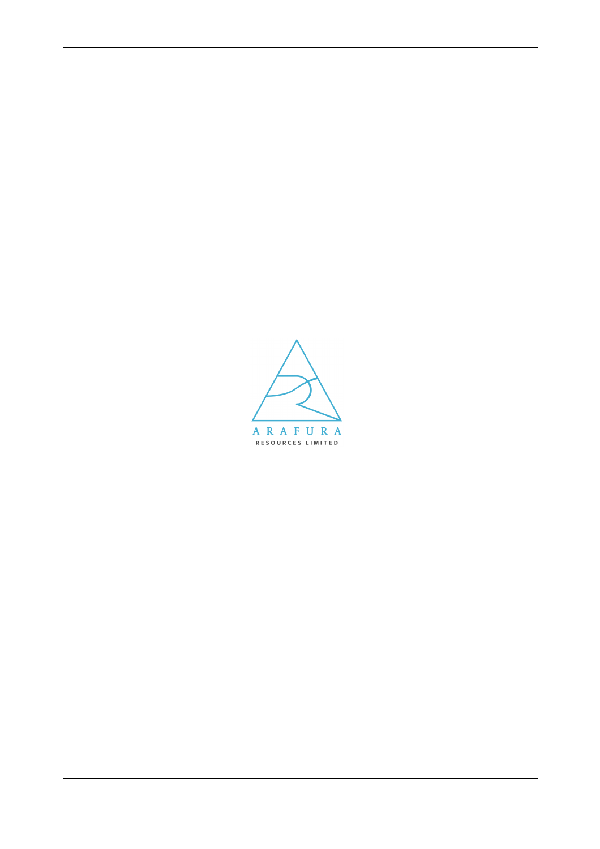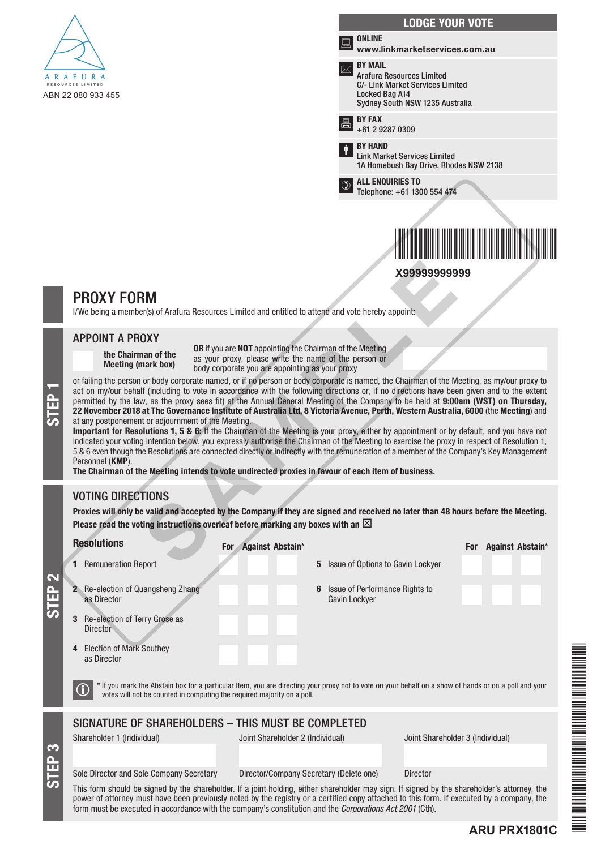

|  |                                                                                                         | <b>LODGE YOUR VOTE</b>                                                                                                                             |
|--|---------------------------------------------------------------------------------------------------------|----------------------------------------------------------------------------------------------------------------------------------------------------|
|  |                                                                                                         | <b>ONLINE</b><br>www.linkmarketservices.com.au                                                                                                     |
|  |                                                                                                         | <b>BY MAIL</b><br><b>Arafura Resources Limited</b><br>C/- Link Market Services Limited<br><b>Locked Bag A14</b><br>Sydney South NSW 1235 Australia |
|  |                                                                                                         | <b>BY FAX</b><br>+61 2 9287 0309                                                                                                                   |
|  |                                                                                                         | <b>RY HAND</b><br><b>Link Market Services Limited</b><br>1A Homebush Bay Drive, Rhodes NSW 2138                                                    |
|  | $\mathfrak{D}% _{T}=\mathfrak{D}_{T}\!\left( a,b\right) ,\ \mathfrak{D}_{T}=C_{T}\!\left( a,b\right) ,$ | <b>ALL ENQUIRIES TO</b><br>Telephone: +61 1300 554 474                                                                                             |
|  |                                                                                                         |                                                                                                                                                    |
|  |                                                                                                         |                                                                                                                                                    |

**X99999999999**

# PROXY FORM

I/We being a member(s) of Arafura Resources Limited and entitled to attend and vote hereby appoint:

### APPOINT A PROXY

the Chairman of the Meeting (mark box)

OR if you are NOT appointing the Chairman of the Meeting as your proxy, please write the name of the person or body corporate you are appointing as your proxy

or failing the person or body corporate named, or if no person or body corporate is named, the Chairman of the Meeting, as my/our proxy to act on my/our behalf (including to vote in accordance with the following directions act on my/our behalf (including to vote in accordance with the following directions or, if no directions have been given and to the extent permitted by the law, as the proxy sees fit) at the Annual General Meeting of the Company to be held at 9:00am (WST) on Thursday, 22 November 2018 at The Governance Institute of Australia Ltd, 8 Victoria Avenue, Perth, Western Australia, 6000 (the Meeting) and at any postponement or adjournment of the Meeting. **X99999999999**<br> **SAMPLE ACCONSTANT CONSTANT CONSTANT CONSTANT CONSTANT CONSTANT CONSTANT CONSTANT CONSTANT CONSTANT CONSTANT CONSTANT CONSTANT CONSTANT CONSTANT CONSTANT CONSTANT CONSTANT CONSTANT CONSTANT CONSTANT CONSTA** 

Important for Resolutions 1, 5 & 6: If the Chairman of the Meeting is your proxy, either by appointment or by default, and you have not indicated your voting intention below, you expressly authorise the Chairman of the Meeting to exercise the proxy in respect of Resolution 1, 5 & 6 even though the Resolutions are connected directly or indirectly with the remuneration of a member of the Company's Key Management Personnel (KMP).

The Chairman of the Meeting intends to vote undirected proxies in favour of each item of business.

### VOTING DIRECTIONS

STEP 3

STEP 2

Proxies will only be valid and accepted by the Company if they are signed and received no later than 48 hours before the Meeting. Please read the voting instructions overleaf before marking any boxes with an  $\boxtimes$ 

|   | <b>Resolutions</b>                                                                                                                                                                                                               | For Against Abstain*                                 | <b>Against Abstain*</b><br><b>For</b> |  |  |  |
|---|----------------------------------------------------------------------------------------------------------------------------------------------------------------------------------------------------------------------------------|------------------------------------------------------|---------------------------------------|--|--|--|
|   | <b>Remuneration Report</b>                                                                                                                                                                                                       | Issue of Options to Gavin Lockyer<br>5               |                                       |  |  |  |
| 3 | Re-election of Quangsheng Zhang<br>as Director<br>Re-election of Terry Grose as<br><b>Director</b>                                                                                                                               | Issue of Performance Rights to<br>6<br>Gavin Lockyer |                                       |  |  |  |
|   | <b>Election of Mark Southey</b><br>as Director                                                                                                                                                                                   |                                                      |                                       |  |  |  |
|   | * If you mark the Abstain box for a particular Item, you are directing your proxy not to vote on your behalf on a show of hands or on a poll and your<br>votes will not be counted in computing the required majority on a poll. |                                                      |                                       |  |  |  |
|   | SIGNATURE OF SHAREHOLDERS - THIS MUST BE COMPLETED                                                                                                                                                                               |                                                      |                                       |  |  |  |
|   | Shareholder 1 (Individual)                                                                                                                                                                                                       | Joint Shareholder 2 (Individual)                     | Joint Shareholder 3 (Individual)      |  |  |  |
|   | Sole Director and Sole Company Secretary                                                                                                                                                                                         | Director/Company Secretary (Delete one)              | <b>Director</b>                       |  |  |  |
|   | This form should be signed by the shareholder. If a joint holding, either shareholder may sign. If signed by the shareholder's attorney, the                                                                                     |                                                      |                                       |  |  |  |

power of attorney must have been previously noted by the registry or a certified copy attached to this form. If executed by a company, the form must be executed in accordance with the company's constitution and the *Corporations Act 2001* (Cth).

**ARU PRX1801C**

FARU PRINSIPAL PRINSIPAL PRINSIPAL PRINSIPAL PRINSIPAL PRINSIPAL PRINSIPAL PRINSIPAL PRINSIPAL PRINSIPAL PRINSIPAL PRINSIPAL PRINSIPAL PRINSIPAL PRINSIPAL PRINSIPAL PRINSIPAL PRINSIPAL PRINSIPAL PRINSIPAL PRINSIPAL PRINSIP